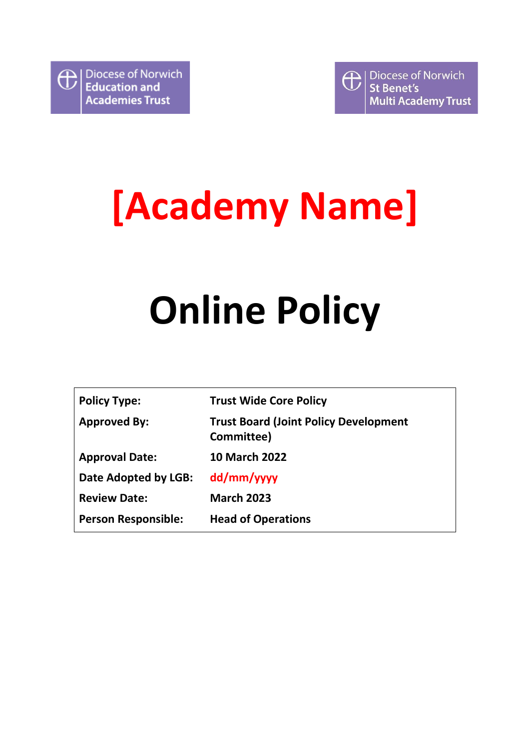

# **[Academy Name]**

# **Online Policy**

| <b>Policy Type:</b>        | <b>Trust Wide Core Policy</b>                              |
|----------------------------|------------------------------------------------------------|
| <b>Approved By:</b>        | <b>Trust Board (Joint Policy Development</b><br>Committee) |
| <b>Approval Date:</b>      | <b>10 March 2022</b>                                       |
| Date Adopted by LGB:       | dd/mm/yyyy                                                 |
| <b>Review Date:</b>        | <b>March 2023</b>                                          |
| <b>Person Responsible:</b> | <b>Head of Operations</b>                                  |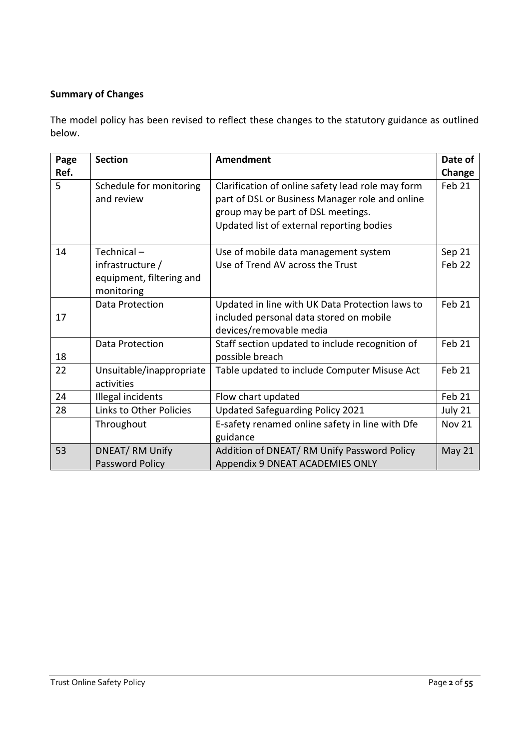# **Summary of Changes**

The model policy has been revised to reflect these changes to the statutory guidance as outlined below.

| Page | <b>Section</b>           | <b>Amendment</b>                                  | Date of           |
|------|--------------------------|---------------------------------------------------|-------------------|
| Ref. |                          |                                                   | Change            |
| 5    | Schedule for monitoring  | Clarification of online safety lead role may form | Feb 21            |
|      | and review               | part of DSL or Business Manager role and online   |                   |
|      |                          | group may be part of DSL meetings.                |                   |
|      |                          | Updated list of external reporting bodies         |                   |
| 14   | Technical-               | Use of mobile data management system              | Sep 21            |
|      | infrastructure /         | Use of Trend AV across the Trust                  | Feb 22            |
|      | equipment, filtering and |                                                   |                   |
|      | monitoring               |                                                   |                   |
|      | Data Protection          | Updated in line with UK Data Protection laws to   | Feb 21            |
| 17   |                          | included personal data stored on mobile           |                   |
|      |                          | devices/removable media                           |                   |
|      | Data Protection          | Staff section updated to include recognition of   | Feb 21            |
| 18   |                          | possible breach                                   |                   |
| 22   | Unsuitable/inappropriate | Table updated to include Computer Misuse Act      | Feb <sub>21</sub> |
|      | activities               |                                                   |                   |
| 24   | Illegal incidents        | Flow chart updated                                | Feb 21            |
| 28   | Links to Other Policies  | Updated Safeguarding Policy 2021                  | July 21           |
|      | Throughout               | E-safety renamed online safety in line with Dfe   | <b>Nov 21</b>     |
|      |                          | guidance                                          |                   |
| 53   | DNEAT/RM Unify           | Addition of DNEAT/RM Unify Password Policy        | May 21            |
|      | Password Policy          | Appendix 9 DNEAT ACADEMIES ONLY                   |                   |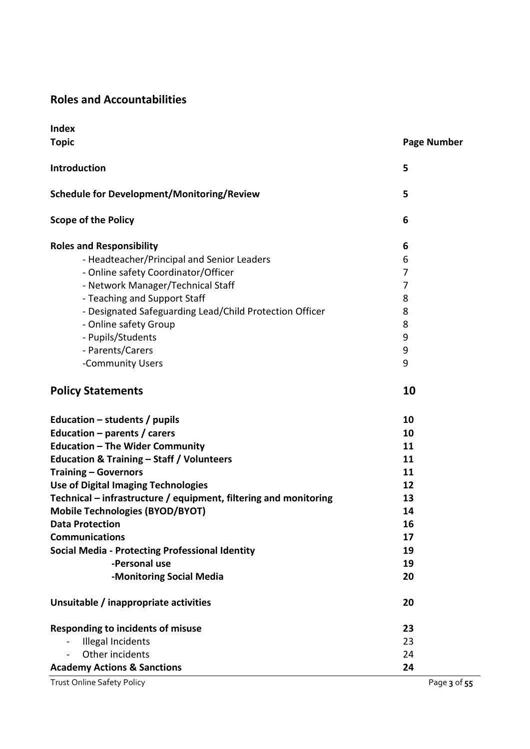# **Roles and Accountabilities**

| <b>Index</b>                                                     |                    |
|------------------------------------------------------------------|--------------------|
| <b>Topic</b>                                                     | <b>Page Number</b> |
| Introduction                                                     | 5                  |
| <b>Schedule for Development/Monitoring/Review</b>                | 5                  |
| <b>Scope of the Policy</b>                                       | 6                  |
| <b>Roles and Responsibility</b>                                  | 6                  |
| - Headteacher/Principal and Senior Leaders                       | 6                  |
| - Online safety Coordinator/Officer                              | 7                  |
| - Network Manager/Technical Staff                                | 7                  |
| - Teaching and Support Staff                                     | 8                  |
| - Designated Safeguarding Lead/Child Protection Officer          | 8                  |
| - Online safety Group                                            | 8                  |
| - Pupils/Students                                                | 9                  |
| - Parents/Carers                                                 | 9                  |
| -Community Users                                                 | 9                  |
| <b>Policy Statements</b>                                         | 10                 |
| Education $-$ students / pupils                                  | 10                 |
| Education - parents / carers                                     | 10                 |
| <b>Education - The Wider Community</b>                           | 11                 |
| <b>Education &amp; Training - Staff / Volunteers</b>             | 11                 |
| <b>Training - Governors</b>                                      | 11                 |
| <b>Use of Digital Imaging Technologies</b>                       | 12                 |
| Technical – infrastructure / equipment, filtering and monitoring | 13                 |
| <b>Mobile Technologies (BYOD/BYOT)</b>                           | 14                 |
| <b>Data Protection</b>                                           | 16                 |
| <b>Communications</b>                                            | 17                 |
| <b>Social Media - Protecting Professional Identity</b>           | 19                 |
| -Personal use                                                    | 19                 |
| -Monitoring Social Media                                         | 20                 |
| Unsuitable / inappropriate activities                            | 20                 |
| <b>Responding to incidents of misuse</b>                         | 23                 |
| <b>Illegal Incidents</b>                                         | 23                 |
| Other incidents                                                  | 24                 |
| <b>Academy Actions &amp; Sanctions</b>                           | 24                 |
| <b>Trust Online Safety Policy</b>                                | Page 3 of 55       |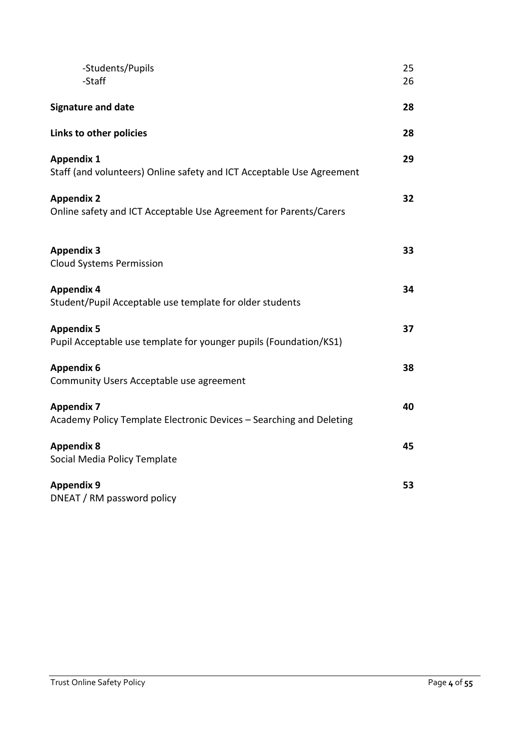| -Students/Pupils<br>-Staff                                                                 | 25<br>26 |
|--------------------------------------------------------------------------------------------|----------|
| <b>Signature and date</b>                                                                  | 28       |
| Links to other policies                                                                    | 28       |
| <b>Appendix 1</b><br>Staff (and volunteers) Online safety and ICT Acceptable Use Agreement | 29       |
| <b>Appendix 2</b><br>Online safety and ICT Acceptable Use Agreement for Parents/Carers     | 32       |
| <b>Appendix 3</b><br><b>Cloud Systems Permission</b>                                       | 33       |
| <b>Appendix 4</b><br>Student/Pupil Acceptable use template for older students              | 34       |
| <b>Appendix 5</b><br>Pupil Acceptable use template for younger pupils (Foundation/KS1)     | 37       |
| <b>Appendix 6</b><br>Community Users Acceptable use agreement                              | 38       |
| <b>Appendix 7</b><br>Academy Policy Template Electronic Devices - Searching and Deleting   | 40       |
| <b>Appendix 8</b><br>Social Media Policy Template                                          | 45       |
| <b>Appendix 9</b><br>DNEAT / RM password policy                                            | 53       |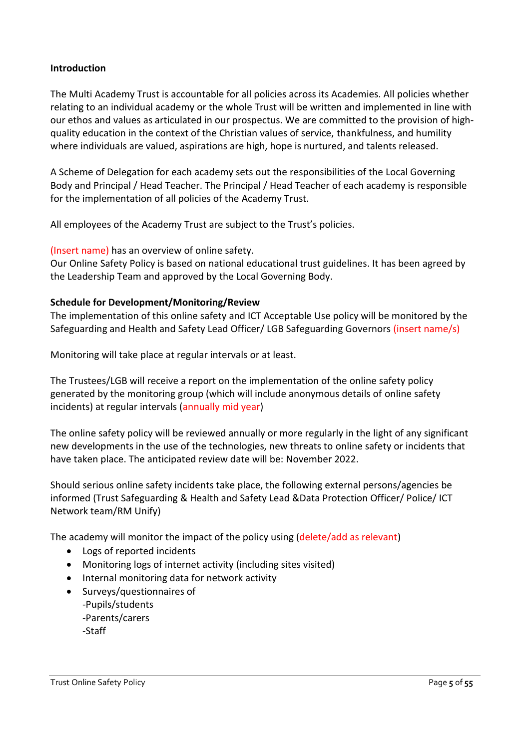#### **Introduction**

The Multi Academy Trust is accountable for all policies across its Academies. All policies whether relating to an individual academy or the whole Trust will be written and implemented in line with our ethos and values as articulated in our prospectus. We are committed to the provision of highquality education in the context of the Christian values of service, thankfulness, and humility where individuals are valued, aspirations are high, hope is nurtured, and talents released.

A Scheme of Delegation for each academy sets out the responsibilities of the Local Governing Body and Principal / Head Teacher. The Principal / Head Teacher of each academy is responsible for the implementation of all policies of the Academy Trust.

All employees of the Academy Trust are subject to the Trust's policies.

(Insert name) has an overview of online safety.

Our Online Safety Policy is based on national educational trust guidelines. It has been agreed by the Leadership Team and approved by the Local Governing Body.

#### **Schedule for Development/Monitoring/Review**

The implementation of this online safety and ICT Acceptable Use policy will be monitored by the Safeguarding and Health and Safety Lead Officer/ LGB Safeguarding Governors (insert name/s)

Monitoring will take place at regular intervals or at least.

The Trustees/LGB will receive a report on the implementation of the online safety policy generated by the monitoring group (which will include anonymous details of online safety incidents) at regular intervals (annually mid year)

The online safety policy will be reviewed annually or more regularly in the light of any significant new developments in the use of the technologies, new threats to online safety or incidents that have taken place. The anticipated review date will be: November 2022.

Should serious online safety incidents take place, the following external persons/agencies be informed (Trust Safeguarding & Health and Safety Lead &Data Protection Officer/ Police/ ICT Network team/RM Unify)

The academy will monitor the impact of the policy using (delete/add as relevant)

- Logs of reported incidents
- Monitoring logs of internet activity (including sites visited)
- Internal monitoring data for network activity
- Surveys/questionnaires of -Pupils/students -Parents/carers -Staff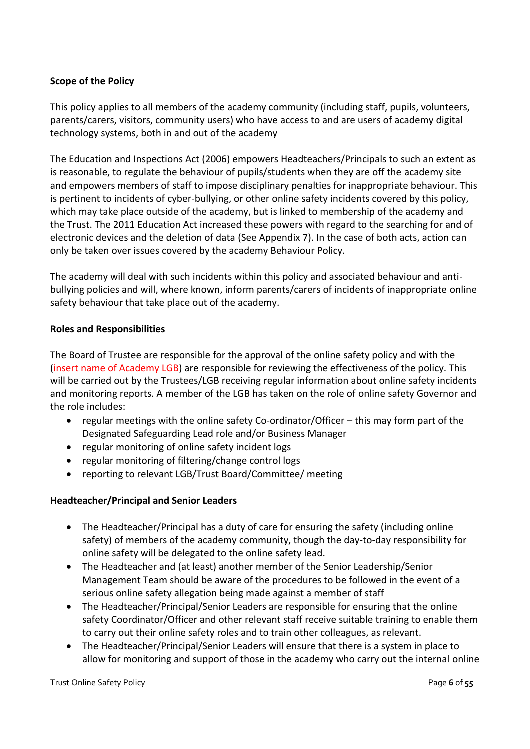## **Scope of the Policy**

This policy applies to all members of the academy community (including staff, pupils, volunteers, parents/carers, visitors, community users) who have access to and are users of academy digital technology systems, both in and out of the academy

The Education and Inspections Act (2006) empowers Headteachers/Principals to such an extent as is reasonable, to regulate the behaviour of pupils/students when they are off the academy site and empowers members of staff to impose disciplinary penalties for inappropriate behaviour. This is pertinent to incidents of cyber-bullying, or other online safety incidents covered by this policy, which may take place outside of the academy, but is linked to membership of the academy and the Trust. The 2011 Education Act increased these powers with regard to the searching for and of electronic devices and the deletion of data (See Appendix 7). In the case of both acts, action can only be taken over issues covered by the academy Behaviour Policy.

The academy will deal with such incidents within this policy and associated behaviour and antibullying policies and will, where known, inform parents/carers of incidents of inappropriate online safety behaviour that take place out of the academy.

## **Roles and Responsibilities**

The Board of Trustee are responsible for the approval of the online safety policy and with the (insert name of Academy LGB) are responsible for reviewing the effectiveness of the policy. This will be carried out by the Trustees/LGB receiving regular information about online safety incidents and monitoring reports. A member of the LGB has taken on the role of online safety Governor and the role includes:

- regular meetings with the online safety Co-ordinator/Officer this may form part of the Designated Safeguarding Lead role and/or Business Manager
- regular monitoring of online safety incident logs
- regular monitoring of filtering/change control logs
- reporting to relevant LGB/Trust Board/Committee/ meeting

## **Headteacher/Principal and Senior Leaders**

- The Headteacher/Principal has a duty of care for ensuring the safety (including online safety) of members of the academy community, though the day-to-day responsibility for online safety will be delegated to the online safety lead.
- The Headteacher and (at least) another member of the Senior Leadership/Senior Management Team should be aware of the procedures to be followed in the event of a serious online safety allegation being made against a member of staff
- The Headteacher/Principal/Senior Leaders are responsible for ensuring that the online safety Coordinator/Officer and other relevant staff receive suitable training to enable them to carry out their online safety roles and to train other colleagues, as relevant.
- The Headteacher/Principal/Senior Leaders will ensure that there is a system in place to allow for monitoring and support of those in the academy who carry out the internal online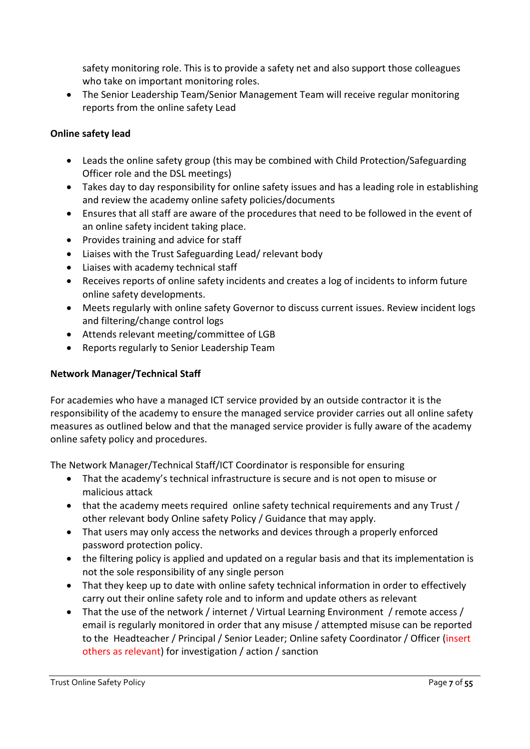safety monitoring role. This is to provide a safety net and also support those colleagues who take on important monitoring roles.

• The Senior Leadership Team/Senior Management Team will receive regular monitoring reports from the online safety Lead

# **Online safety lead**

- Leads the online safety group (this may be combined with Child Protection/Safeguarding Officer role and the DSL meetings)
- Takes day to day responsibility for online safety issues and has a leading role in establishing and review the academy online safety policies/documents
- Ensures that all staff are aware of the procedures that need to be followed in the event of an online safety incident taking place.
- Provides training and advice for staff
- Liaises with the Trust Safeguarding Lead/ relevant body
- Liaises with academy technical staff
- Receives reports of online safety incidents and creates a log of incidents to inform future online safety developments.
- Meets regularly with online safety Governor to discuss current issues. Review incident logs and filtering/change control logs
- Attends relevant meeting/committee of LGB
- Reports regularly to Senior Leadership Team

## **Network Manager/Technical Staff**

For academies who have a managed ICT service provided by an outside contractor it is the responsibility of the academy to ensure the managed service provider carries out all online safety measures as outlined below and that the managed service provider is fully aware of the academy online safety policy and procedures.

The Network Manager/Technical Staff/ICT Coordinator is responsible for ensuring

- That the academy's technical infrastructure is secure and is not open to misuse or malicious attack
- that the academy meets required online safety technical requirements and any Trust / other relevant body Online safety Policy / Guidance that may apply.
- That users may only access the networks and devices through a properly enforced password protection policy.
- the filtering policy is applied and updated on a regular basis and that its implementation is not the sole responsibility of any single person
- That they keep up to date with online safety technical information in order to effectively carry out their online safety role and to inform and update others as relevant
- That the use of the network / internet / Virtual Learning Environment / remote access / email is regularly monitored in order that any misuse / attempted misuse can be reported to the Headteacher / Principal / Senior Leader; Online safety Coordinator / Officer (insert others as relevant) for investigation / action / sanction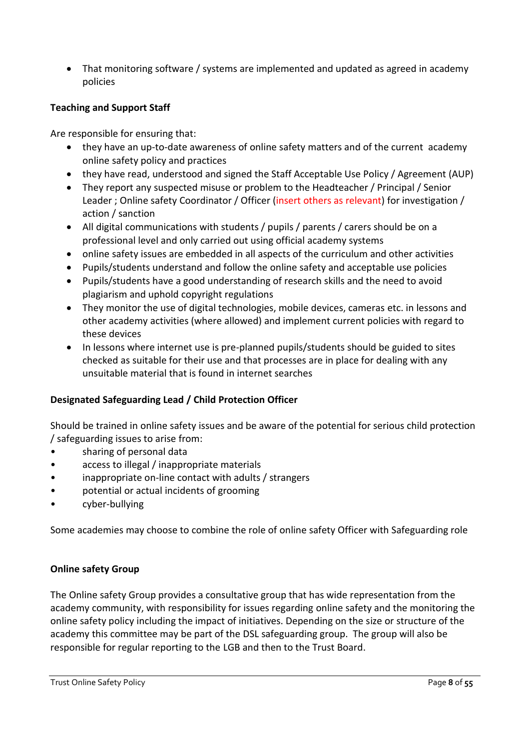• That monitoring software / systems are implemented and updated as agreed in academy policies

# **Teaching and Support Staff**

Are responsible for ensuring that:

- they have an up-to-date awareness of online safety matters and of the current academy online safety policy and practices
- they have read, understood and signed the Staff Acceptable Use Policy / Agreement (AUP)
- They report any suspected misuse or problem to the Headteacher / Principal / Senior Leader ; Online safety Coordinator / Officer (insert others as relevant) for investigation / action / sanction
- All digital communications with students / pupils / parents / carers should be on a professional level and only carried out using official academy systems
- online safety issues are embedded in all aspects of the curriculum and other activities
- Pupils/students understand and follow the online safety and acceptable use policies
- Pupils/students have a good understanding of research skills and the need to avoid plagiarism and uphold copyright regulations
- They monitor the use of digital technologies, mobile devices, cameras etc. in lessons and other academy activities (where allowed) and implement current policies with regard to these devices
- In lessons where internet use is pre-planned pupils/students should be guided to sites checked as suitable for their use and that processes are in place for dealing with any unsuitable material that is found in internet searches

# **Designated Safeguarding Lead / Child Protection Officer**

Should be trained in online safety issues and be aware of the potential for serious child protection / safeguarding issues to arise from:

- sharing of personal data
- access to illegal / inappropriate materials
- inappropriate on-line contact with adults / strangers
- potential or actual incidents of grooming
- cyber-bullying

Some academies may choose to combine the role of online safety Officer with Safeguarding role

## **Online safety Group**

The Online safety Group provides a consultative group that has wide representation from the academy community, with responsibility for issues regarding online safety and the monitoring the online safety policy including the impact of initiatives. Depending on the size or structure of the academy this committee may be part of the DSL safeguarding group. The group will also be responsible for regular reporting to the LGB and then to the Trust Board.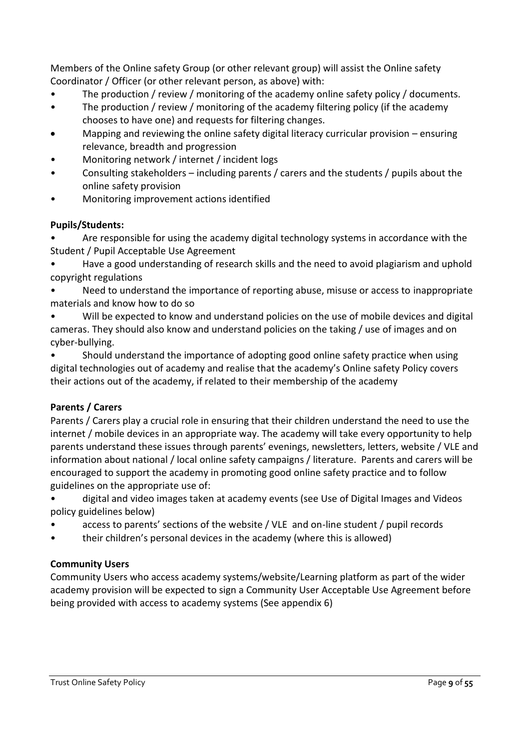Members of the Online safety Group (or other relevant group) will assist the Online safety Coordinator / Officer (or other relevant person, as above) with:

- The production / review / monitoring of the academy online safety policy / documents.
- The production / review / monitoring of the academy filtering policy (if the academy chooses to have one) and requests for filtering changes.
- Mapping and reviewing the online safety digital literacy curricular provision ensuring relevance, breadth and progression
- Monitoring network / internet / incident logs
- Consulting stakeholders including parents / carers and the students / pupils about the online safety provision
- Monitoring improvement actions identified

# **Pupils/Students:**

• Are responsible for using the academy digital technology systems in accordance with the Student / Pupil Acceptable Use Agreement

• Have a good understanding of research skills and the need to avoid plagiarism and uphold copyright regulations

Need to understand the importance of reporting abuse, misuse or access to inappropriate materials and know how to do so

• Will be expected to know and understand policies on the use of mobile devices and digital cameras. They should also know and understand policies on the taking / use of images and on cyber-bullying.

• Should understand the importance of adopting good online safety practice when using digital technologies out of academy and realise that the academy's Online safety Policy covers their actions out of the academy, if related to their membership of the academy

# **Parents / Carers**

Parents / Carers play a crucial role in ensuring that their children understand the need to use the internet / mobile devices in an appropriate way. The academy will take every opportunity to help parents understand these issues through parents' evenings, newsletters, letters, website / VLE and information about national / local online safety campaigns / literature. Parents and carers will be encouraged to support the academy in promoting good online safety practice and to follow guidelines on the appropriate use of:

• digital and video images taken at academy events (see Use of Digital Images and Videos policy guidelines below)

- access to parents' sections of the website / VLE and on-line student / pupil records
- their children's personal devices in the academy (where this is allowed)

# **Community Users**

Community Users who access academy systems/website/Learning platform as part of the wider academy provision will be expected to sign a Community User Acceptable Use Agreement before being provided with access to academy systems (See appendix 6)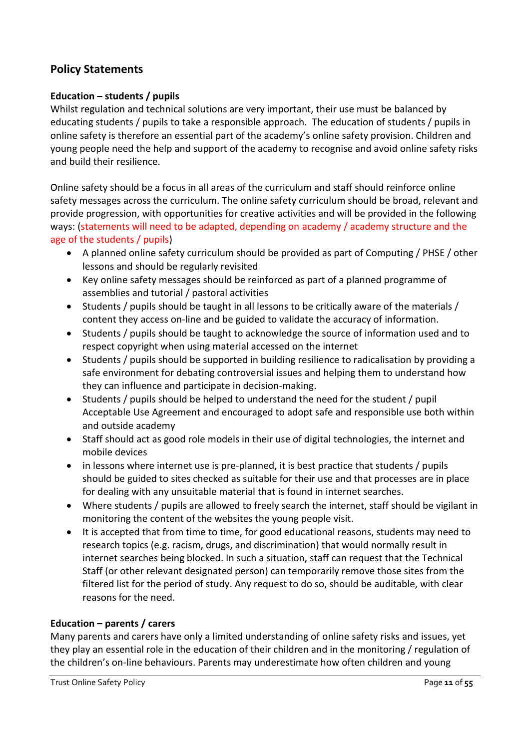# **Policy Statements**

#### **Education – students / pupils**

Whilst regulation and technical solutions are very important, their use must be balanced by educating students / pupils to take a responsible approach. The education of students / pupils in online safety is therefore an essential part of the academy's online safety provision. Children and young people need the help and support of the academy to recognise and avoid online safety risks and build their resilience.

Online safety should be a focus in all areas of the curriculum and staff should reinforce online safety messages across the curriculum. The online safety curriculum should be broad, relevant and provide progression, with opportunities for creative activities and will be provided in the following ways: (statements will need to be adapted, depending on academy / academy structure and the age of the students / pupils)

- A planned online safety curriculum should be provided as part of Computing / PHSE / other lessons and should be regularly revisited
- Key online safety messages should be reinforced as part of a planned programme of assemblies and tutorial / pastoral activities
- Students / pupils should be taught in all lessons to be critically aware of the materials / content they access on-line and be guided to validate the accuracy of information.
- Students / pupils should be taught to acknowledge the source of information used and to respect copyright when using material accessed on the internet
- Students / pupils should be supported in building resilience to radicalisation by providing a safe environment for debating controversial issues and helping them to understand how they can influence and participate in decision-making.
- Students / pupils should be helped to understand the need for the student / pupil Acceptable Use Agreement and encouraged to adopt safe and responsible use both within and outside academy
- Staff should act as good role models in their use of digital technologies, the internet and mobile devices
- in lessons where internet use is pre-planned, it is best practice that students / pupils should be guided to sites checked as suitable for their use and that processes are in place for dealing with any unsuitable material that is found in internet searches.
- Where students / pupils are allowed to freely search the internet, staff should be vigilant in monitoring the content of the websites the young people visit.
- It is accepted that from time to time, for good educational reasons, students may need to research topics (e.g. racism, drugs, and discrimination) that would normally result in internet searches being blocked. In such a situation, staff can request that the Technical Staff (or other relevant designated person) can temporarily remove those sites from the filtered list for the period of study. Any request to do so, should be auditable, with clear reasons for the need.

## **Education – parents / carers**

Many parents and carers have only a limited understanding of online safety risks and issues, yet they play an essential role in the education of their children and in the monitoring / regulation of the children's on-line behaviours. Parents may underestimate how often children and young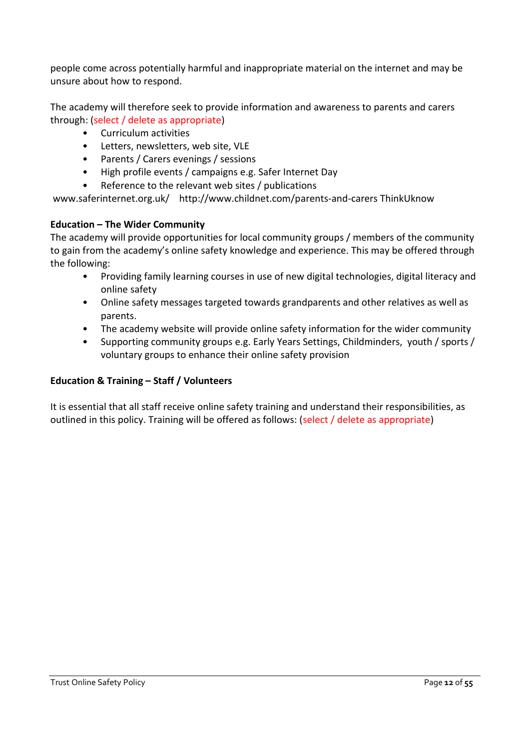people come across potentially harmful and inappropriate material on the internet and may be unsure about how to respond.

The academy will therefore seek to provide information and awareness to parents and carers through: (select / delete as appropriate)

- Curriculum activities
- Letters, newsletters, web site, VLE
- Parents / Carers evenings / sessions
- High profile events / campaigns e.g. Safer Internet Day
- Reference to the relevant web sites / publications

www.saferinternet.org.uk/ http://www.childnet.com/parents-and-carers ThinkUknow

#### **Education – The Wider Community**

The academy will provide opportunities for local community groups / members of the community to gain from the academy's online safety knowledge and experience. This may be offered through the following:

- Providing family learning courses in use of new digital technologies, digital literacy and online safety
- Online safety messages targeted towards grandparents and other relatives as well as parents.
- The academy website will provide online safety information for the wider community
- Supporting community groups e.g. Early Years Settings, Childminders, youth / sports / voluntary groups to enhance their online safety provision

## **Education & Training – Staff / Volunteers**

It is essential that all staff receive online safety training and understand their responsibilities, as outlined in this policy. Training will be offered as follows: (select / delete as appropriate)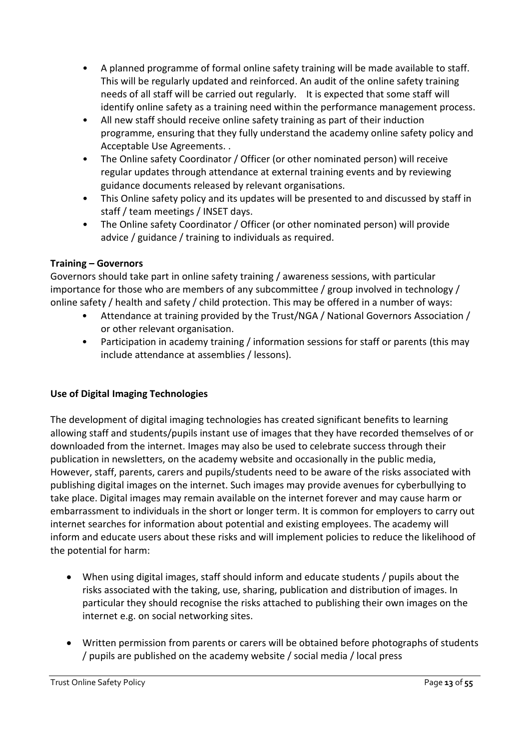- A planned programme of formal online safety training will be made available to staff. This will be regularly updated and reinforced. An audit of the online safety training needs of all staff will be carried out regularly. It is expected that some staff will identify online safety as a training need within the performance management process.
- All new staff should receive online safety training as part of their induction programme, ensuring that they fully understand the academy online safety policy and Acceptable Use Agreements. .
- The Online safety Coordinator / Officer (or other nominated person) will receive regular updates through attendance at external training events and by reviewing guidance documents released by relevant organisations.
- This Online safety policy and its updates will be presented to and discussed by staff in staff / team meetings / INSET days.
- The Online safety Coordinator / Officer (or other nominated person) will provide advice / guidance / training to individuals as required.

# **Training – Governors**

Governors should take part in online safety training / awareness sessions, with particular importance for those who are members of any subcommittee / group involved in technology / online safety / health and safety / child protection. This may be offered in a number of ways:

- Attendance at training provided by the Trust/NGA / National Governors Association / or other relevant organisation.
- Participation in academy training / information sessions for staff or parents (this may include attendance at assemblies / lessons).

# **Use of Digital Imaging Technologies**

The development of digital imaging technologies has created significant benefits to learning allowing staff and students/pupils instant use of images that they have recorded themselves of or downloaded from the internet. Images may also be used to celebrate success through their publication in newsletters, on the academy website and occasionally in the public media, However, staff, parents, carers and pupils/students need to be aware of the risks associated with publishing digital images on the internet. Such images may provide avenues for cyberbullying to take place. Digital images may remain available on the internet forever and may cause harm or embarrassment to individuals in the short or longer term. It is common for employers to carry out internet searches for information about potential and existing employees. The academy will inform and educate users about these risks and will implement policies to reduce the likelihood of the potential for harm:

- When using digital images, staff should inform and educate students / pupils about the risks associated with the taking, use, sharing, publication and distribution of images. In particular they should recognise the risks attached to publishing their own images on the internet e.g. on social networking sites.
- Written permission from parents or carers will be obtained before photographs of students / pupils are published on the academy website / social media / local press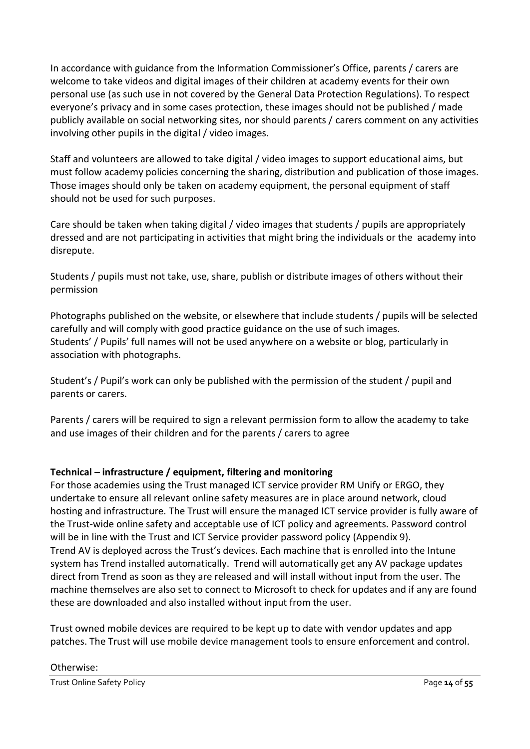In accordance with guidance from the Information Commissioner's Office, parents / carers are welcome to take videos and digital images of their children at academy events for their own personal use (as such use in not covered by the General Data Protection Regulations). To respect everyone's privacy and in some cases protection, these images should not be published / made publicly available on social networking sites, nor should parents / carers comment on any activities involving other pupils in the digital / video images.

Staff and volunteers are allowed to take digital / video images to support educational aims, but must follow academy policies concerning the sharing, distribution and publication of those images. Those images should only be taken on academy equipment, the personal equipment of staff should not be used for such purposes.

Care should be taken when taking digital / video images that students / pupils are appropriately dressed and are not participating in activities that might bring the individuals or the academy into disrepute.

Students / pupils must not take, use, share, publish or distribute images of others without their permission

Photographs published on the website, or elsewhere that include students / pupils will be selected carefully and will comply with good practice guidance on the use of such images. Students' / Pupils' full names will not be used anywhere on a website or blog, particularly in association with photographs.

Student's / Pupil's work can only be published with the permission of the student / pupil and parents or carers.

Parents / carers will be required to sign a relevant permission form to allow the academy to take and use images of their children and for the parents / carers to agree

# **Technical – infrastructure / equipment, filtering and monitoring**

For those academies using the Trust managed ICT service provider RM Unify or ERGO, they undertake to ensure all relevant online safety measures are in place around network, cloud hosting and infrastructure. The Trust will ensure the managed ICT service provider is fully aware of the Trust-wide online safety and acceptable use of ICT policy and agreements. Password control will be in line with the Trust and ICT Service provider password policy (Appendix 9). Trend AV is deployed across the Trust's devices. Each machine that is enrolled into the Intune system has Trend installed automatically. Trend will automatically get any AV package updates direct from Trend as soon as they are released and will install without input from the user. The machine themselves are also set to connect to Microsoft to check for updates and if any are found these are downloaded and also installed without input from the user.

Trust owned mobile devices are required to be kept up to date with vendor updates and app patches. The Trust will use mobile device management tools to ensure enforcement and control.

#### Otherwise: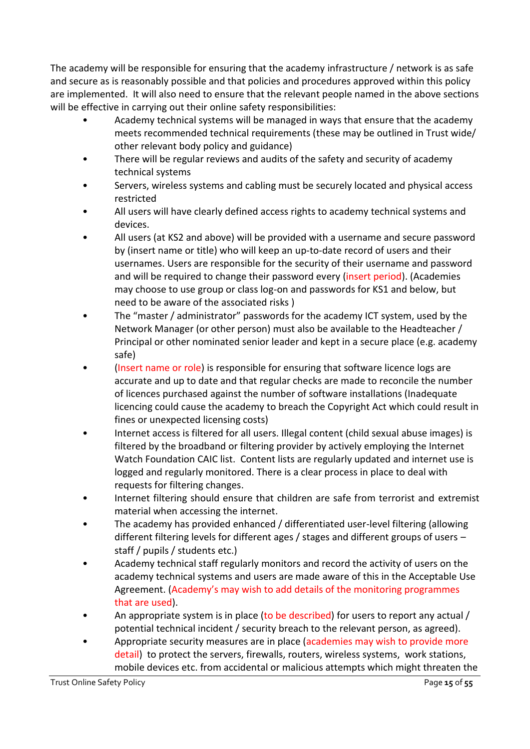The academy will be responsible for ensuring that the academy infrastructure / network is as safe and secure as is reasonably possible and that policies and procedures approved within this policy are implemented. It will also need to ensure that the relevant people named in the above sections will be effective in carrying out their online safety responsibilities:

- Academy technical systems will be managed in ways that ensure that the academy meets recommended technical requirements (these may be outlined in Trust wide/ other relevant body policy and guidance)
- There will be regular reviews and audits of the safety and security of academy technical systems
- Servers, wireless systems and cabling must be securely located and physical access restricted
- All users will have clearly defined access rights to academy technical systems and devices.
- All users (at KS2 and above) will be provided with a username and secure password by (insert name or title) who will keep an up-to-date record of users and their usernames. Users are responsible for the security of their username and password and will be required to change their password every (insert period). (Academies may choose to use group or class log-on and passwords for KS1 and below, but need to be aware of the associated risks )
- The "master / administrator" passwords for the academy ICT system, used by the Network Manager (or other person) must also be available to the Headteacher / Principal or other nominated senior leader and kept in a secure place (e.g. academy safe)
- (Insert name or role) is responsible for ensuring that software licence logs are accurate and up to date and that regular checks are made to reconcile the number of licences purchased against the number of software installations (Inadequate licencing could cause the academy to breach the Copyright Act which could result in fines or unexpected licensing costs)
- Internet access is filtered for all users. Illegal content (child sexual abuse images) is filtered by the broadband or filtering provider by actively employing the Internet Watch Foundation CAIC list. Content lists are regularly updated and internet use is logged and regularly monitored. There is a clear process in place to deal with requests for filtering changes.
- Internet filtering should ensure that children are safe from terrorist and extremist material when accessing the internet.
- The academy has provided enhanced / differentiated user-level filtering (allowing different filtering levels for different ages / stages and different groups of users – staff / pupils / students etc.)
- Academy technical staff regularly monitors and record the activity of users on the academy technical systems and users are made aware of this in the Acceptable Use Agreement. (Academy's may wish to add details of the monitoring programmes that are used).
- An appropriate system is in place (to be described) for users to report any actual / potential technical incident / security breach to the relevant person, as agreed).
- Appropriate security measures are in place (academies may wish to provide more detail) to protect the servers, firewalls, routers, wireless systems, work stations, mobile devices etc. from accidental or malicious attempts which might threaten the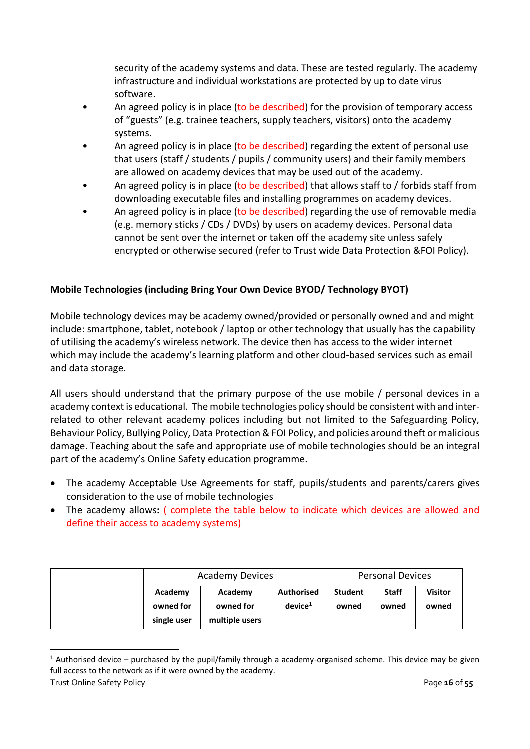security of the academy systems and data. These are tested regularly. The academy infrastructure and individual workstations are protected by up to date virus software.

- An agreed policy is in place (to be described) for the provision of temporary access of "guests" (e.g. trainee teachers, supply teachers, visitors) onto the academy systems.
- An agreed policy is in place (to be described) regarding the extent of personal use that users (staff / students / pupils / community users) and their family members are allowed on academy devices that may be used out of the academy.
- An agreed policy is in place (to be described) that allows staff to / forbids staff from downloading executable files and installing programmes on academy devices.
- An agreed policy is in place (to be described) regarding the use of removable media (e.g. memory sticks / CDs / DVDs) by users on academy devices. Personal data cannot be sent over the internet or taken off the academy site unless safely encrypted or otherwise secured (refer to Trust wide Data Protection &FOI Policy).

# **Mobile Technologies (including Bring Your Own Device BYOD/ Technology BYOT)**

Mobile technology devices may be academy owned/provided or personally owned and and might include: smartphone, tablet, notebook / laptop or other technology that usually has the capability of utilising the academy's wireless network. The device then has access to the wider internet which may include the academy's learning platform and other cloud-based services such as email and data storage.

All users should understand that the primary purpose of the use mobile / personal devices in a academy context is educational. The mobile technologies policy should be consistent with and interrelated to other relevant academy polices including but not limited to the Safeguarding Policy, Behaviour Policy, Bullying Policy, Data Protection & FOI Policy, and policies around theft or malicious damage. Teaching about the safe and appropriate use of mobile technologies should be an integral part of the academy's Online Safety education programme.

- The academy Acceptable Use Agreements for staff, pupils/students and parents/carers gives consideration to the use of mobile technologies
- The academy allows**:** ( complete the table below to indicate which devices are allowed and define their access to academy systems)

|                                     | <b>Academy Devices</b>                 |                                          | <b>Personal Devices</b> |                       |                         |
|-------------------------------------|----------------------------------------|------------------------------------------|-------------------------|-----------------------|-------------------------|
| Academy<br>owned for<br>single user | Academy<br>owned for<br>multiple users | <b>Authorised</b><br>device <sup>1</sup> | <b>Student</b><br>owned | <b>Staff</b><br>owned | <b>Visitor</b><br>owned |

<sup>&</sup>lt;sup>1</sup> Authorised device – purchased by the pupil/family through a academy-organised scheme. This device may be given full access to the network as if it were owned by the academy.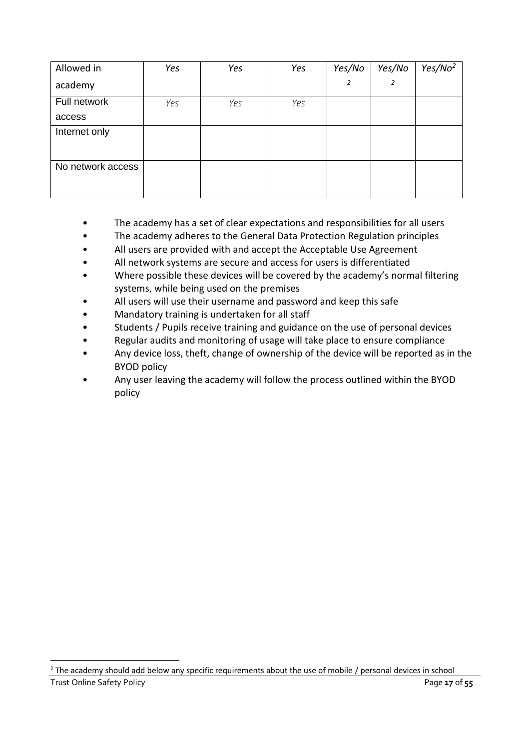<span id="page-16-0"></span>

| Allowed in        | Yes | Yes | Yes | Yes/No | Yes/No | Yes/No <sup>2</sup> |
|-------------------|-----|-----|-----|--------|--------|---------------------|
| academy           |     |     |     | 2      | 2      |                     |
| Full network      | Yes | Yes | Yes |        |        |                     |
| access            |     |     |     |        |        |                     |
| Internet only     |     |     |     |        |        |                     |
|                   |     |     |     |        |        |                     |
| No network access |     |     |     |        |        |                     |
|                   |     |     |     |        |        |                     |

- The academy has a set of clear expectations and responsibilities for all users
- The academy adheres to the General Data Protection Regulation principles
- All users are provided with and accept the Acceptable Use Agreement
- All network systems are secure and access for users is differentiated
- Where possible these devices will be covered by the academy's normal filtering systems, while being used on the premises
- All users will use their username and password and keep this safe
- Mandatory training is undertaken for all staff
- Students / Pupils receive training and guidance on the use of personal devices
- Regular audits and monitoring of usage will take place to ensure compliance
- Any device loss, theft, change of ownership of the device will be reported as in the BYOD policy
- Any user leaving the academy will follow the process outlined within the BYOD policy

Trust Online Safety Policy **Page 17** of 55 <sup>2</sup> The academy should add below any specific requirements about the use of mobile / personal devices in school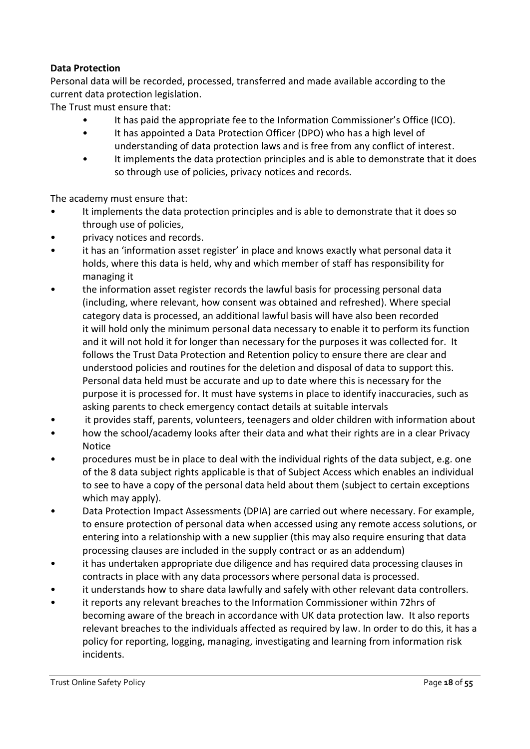## **Data Protection**

Personal data will be recorded, processed, transferred and made available according to the current data protection legislation.

The Trust must ensure that:

- It has paid the appropriate fee to the Information Commissioner's Office (ICO).
- It has appointed a Data Protection Officer (DPO) who has a high level of understanding of data protection laws and is free from any conflict of interest.
- It implements the data protection principles and is able to demonstrate that it does so through use of policies, privacy notices and records.

The academy must ensure that:

- It implements the data protection principles and is able to demonstrate that it does so through use of policies,
- privacy notices and records.
- it has an 'information asset register' in place and knows exactly what personal data it holds, where this data is held, why and which member of staff has responsibility for managing it
- the information asset register records the lawful basis for processing personal data (including, where relevant, how consent was obtained and refreshed). Where special category data is processed, an additional lawful basis will have also been recorded it will hold only the minimum personal data necessary to enable it to perform its function and it will not hold it for longer than necessary for the purposes it was collected for. It follows the Trust Data Protection and Retention policy to ensure there are clear and understood policies and routines for the deletion and disposal of data to support this. Personal data held must be accurate and up to date where this is necessary for the purpose it is processed for. It must have systems in place to identify inaccuracies, such as asking parents to check emergency contact details at suitable intervals
- it provides staff, parents, volunteers, teenagers and older children with information about
- how the school/academy looks after their data and what their rights are in a clear Privacy Notice
- procedures must be in place to deal with the individual rights of the data subject, e.g. one of the 8 data subject rights applicable is that of Subject Access which enables an individual to see to have a copy of the personal data held about them (subject to certain exceptions which may apply).
- Data Protection Impact Assessments (DPIA) are carried out where necessary. For example, to ensure protection of personal data when accessed using any remote access solutions, or entering into a relationship with a new supplier (this may also require ensuring that data processing clauses are included in the supply contract or as an addendum)
- it has undertaken appropriate due diligence and has required data processing clauses in contracts in place with any data processors where personal data is processed.
- it understands how to share data lawfully and safely with other relevant data controllers.
- it reports any relevant breaches to the Information Commissioner within 72hrs of becoming aware of the breach in accordance with UK data protection law. It also reports relevant breaches to the individuals affected as required by law. In order to do this, it has a policy for reporting, logging, managing, investigating and learning from information risk incidents.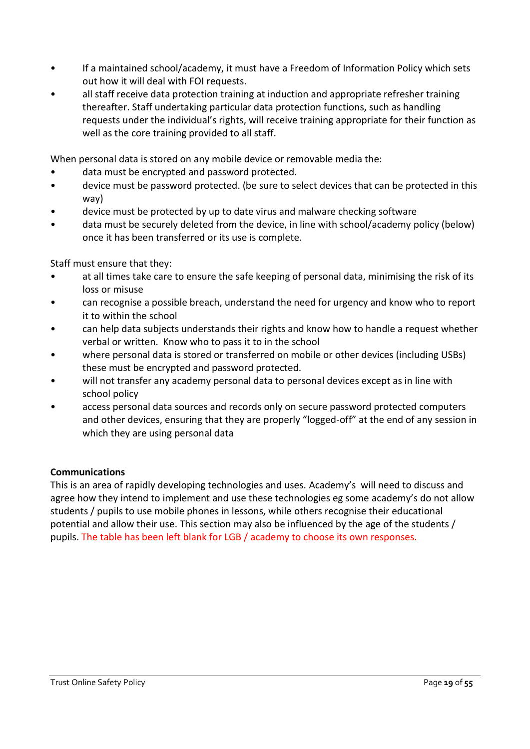- If a maintained school/academy, it must have a Freedom of Information Policy which sets out how it will deal with FOI requests.
- all staff receive data protection training at induction and appropriate refresher training thereafter. Staff undertaking particular data protection functions, such as handling requests under the individual's rights, will receive training appropriate for their function as well as the core training provided to all staff.

When personal data is stored on any mobile device or removable media the:

- data must be encrypted and password protected.
- device must be password protected. (be sure to select devices that can be protected in this way)
- device must be protected by up to date virus and malware checking software
- data must be securely deleted from the device, in line with school/academy policy (below) once it has been transferred or its use is complete.

Staff must ensure that they:

- at all times take care to ensure the safe keeping of personal data, minimising the risk of its loss or misuse
- can recognise a possible breach, understand the need for urgency and know who to report it to within the school
- can help data subjects understands their rights and know how to handle a request whether verbal or written. Know who to pass it to in the school
- where personal data is stored or transferred on mobile or other devices (including USBs) these must be encrypted and password protected.
- will not transfer any academy personal data to personal devices except as in line with school policy
- access personal data sources and records only on secure password protected computers and other devices, ensuring that they are properly "logged-off" at the end of any session in which they are using personal data

## **Communications**

This is an area of rapidly developing technologies and uses. Academy's will need to discuss and agree how they intend to implement and use these technologies eg some academy's do not allow students / pupils to use mobile phones in lessons, while others recognise their educational potential and allow their use. This section may also be influenced by the age of the students / pupils. The table has been left blank for LGB / academy to choose its own responses.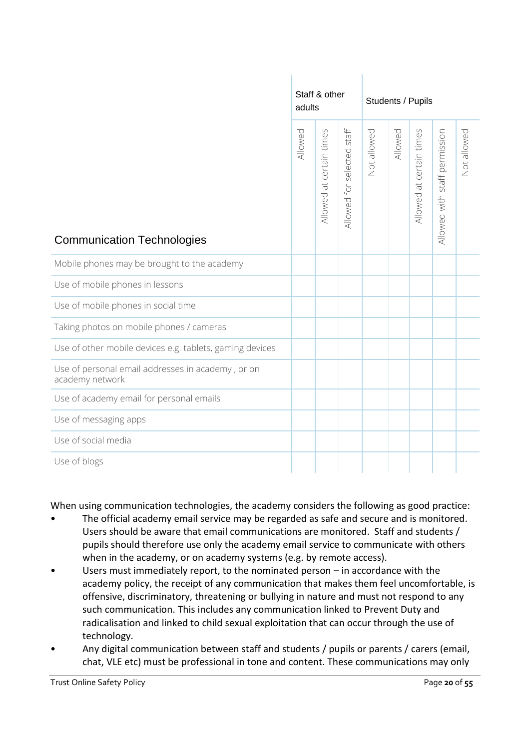|                                                                      | adults  | Staff & other            |                            | Students / Pupils |         |                          |                               |             |
|----------------------------------------------------------------------|---------|--------------------------|----------------------------|-------------------|---------|--------------------------|-------------------------------|-------------|
| <b>Communication Technologies</b>                                    | Allowed | Allowed at certain times | Allowed for selected staff | Not allowed       | Allowed | Allowed at certain times | Allowed with staff permission | Not allowed |
| Mobile phones may be brought to the academy                          |         |                          |                            |                   |         |                          |                               |             |
| Use of mobile phones in lessons                                      |         |                          |                            |                   |         |                          |                               |             |
| Use of mobile phones in social time                                  |         |                          |                            |                   |         |                          |                               |             |
| Taking photos on mobile phones / cameras                             |         |                          |                            |                   |         |                          |                               |             |
| Use of other mobile devices e.g. tablets, gaming devices             |         |                          |                            |                   |         |                          |                               |             |
| Use of personal email addresses in academy, or on<br>academy network |         |                          |                            |                   |         |                          |                               |             |
| Use of academy email for personal emails                             |         |                          |                            |                   |         |                          |                               |             |
| Use of messaging apps                                                |         |                          |                            |                   |         |                          |                               |             |
| Use of social media                                                  |         |                          |                            |                   |         |                          |                               |             |
| Use of blogs                                                         |         |                          |                            |                   |         |                          |                               |             |

When using communication technologies, the academy considers the following as good practice:

- The official academy email service may be regarded as safe and secure and is monitored. Users should be aware that email communications are monitored. Staff and students / pupils should therefore use only the academy email service to communicate with others when in the academy, or on academy systems (e.g. by remote access).
- Users must immediately report, to the nominated person  $-$  in accordance with the academy policy, the receipt of any communication that makes them feel uncomfortable, is offensive, discriminatory, threatening or bullying in nature and must not respond to any such communication. This includes any communication linked to Prevent Duty and radicalisation and linked to child sexual exploitation that can occur through the use of technology.
- Any digital communication between staff and students / pupils or parents / carers (email, chat, VLE etc) must be professional in tone and content. These communications may only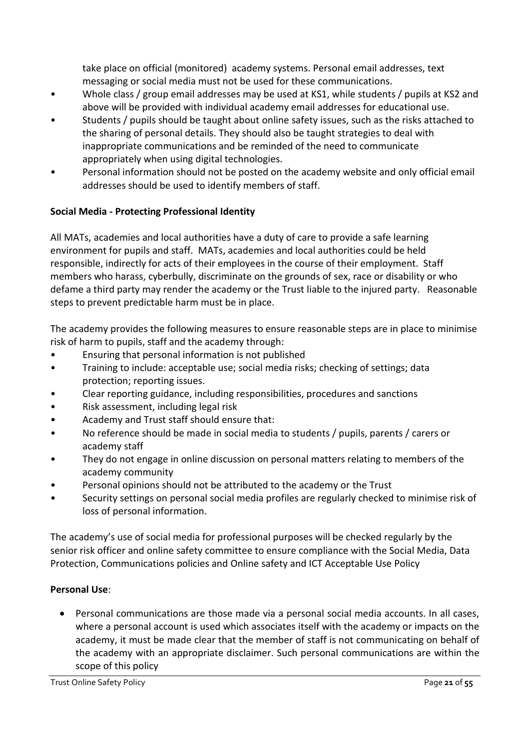take place on official (monitored) academy systems. Personal email addresses, text messaging or social media must not be used for these communications.

- Whole class / group email addresses may be used at KS1, while students / pupils at KS2 and above will be provided with individual academy email addresses for educational use.
- Students / pupils should be taught about online safety issues, such as the risks attached to the sharing of personal details. They should also be taught strategies to deal with inappropriate communications and be reminded of the need to communicate appropriately when using digital technologies.
- Personal information should not be posted on the academy website and only official email addresses should be used to identify members of staff.

# **Social Media - Protecting Professional Identity**

All MATs, academies and local authorities have a duty of care to provide a safe learning environment for pupils and staff. MATs, academies and local authorities could be held responsible, indirectly for acts of their employees in the course of their employment. Staff members who harass, cyberbully, discriminate on the grounds of sex, race or disability or who defame a third party may render the academy or the Trust liable to the injured party. Reasonable steps to prevent predictable harm must be in place.

The academy provides the following measures to ensure reasonable steps are in place to minimise risk of harm to pupils, staff and the academy through:

- Ensuring that personal information is not published
- Training to include: acceptable use; social media risks; checking of settings; data protection; reporting issues.
- Clear reporting guidance, including responsibilities, procedures and sanctions
- Risk assessment, including legal risk
- Academy and Trust staff should ensure that:
- No reference should be made in social media to students / pupils, parents / carers or academy staff
- They do not engage in online discussion on personal matters relating to members of the academy community
- Personal opinions should not be attributed to the academy or the Trust
- Security settings on personal social media profiles are regularly checked to minimise risk of loss of personal information.

The academy's use of social media for professional purposes will be checked regularly by the senior risk officer and online safety committee to ensure compliance with the Social Media, Data Protection, Communications policies and Online safety and ICT Acceptable Use Policy

# **Personal Use**:

• Personal communications are those made via a personal social media accounts. In all cases, where a personal account is used which associates itself with the academy or impacts on the academy, it must be made clear that the member of staff is not communicating on behalf of the academy with an appropriate disclaimer. Such personal communications are within the scope of this policy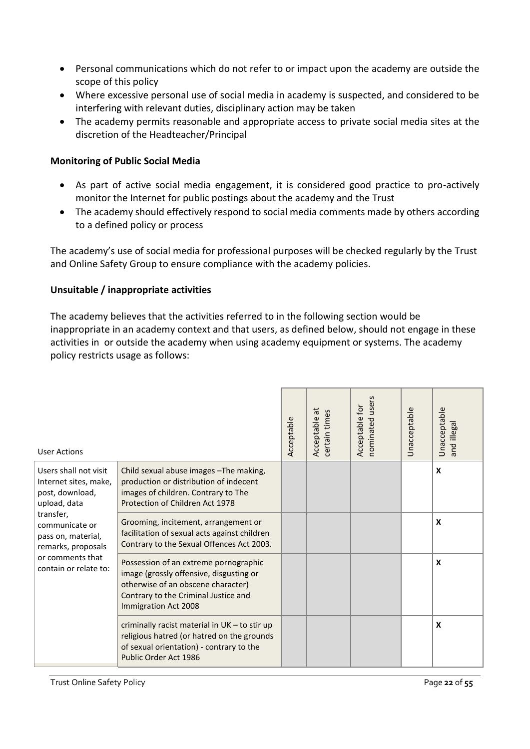- Personal communications which do not refer to or impact upon the academy are outside the scope of this policy
- Where excessive personal use of social media in academy is suspected, and considered to be interfering with relevant duties, disciplinary action may be taken
- The academy permits reasonable and appropriate access to private social media sites at the discretion of the Headteacher/Principal

#### **Monitoring of Public Social Media**

- As part of active social media engagement, it is considered good practice to pro-actively monitor the Internet for public postings about the academy and the Trust
- The academy should effectively respond to social media comments made by others according to a defined policy or process

The academy's use of social media for professional purposes will be checked regularly by the Trust and Online Safety Group to ensure compliance with the academy policies.

#### **Unsuitable / inappropriate activities**

The academy believes that the activities referred to in the following section would be inappropriate in an academy context and that users, as defined below, should not engage in these activities in or outside the academy when using academy equipment or systems. The academy policy restricts usage as follows:

| <b>User Actions</b>                                                               |                                                                                                                                                                                        | Acceptable | $\vec{a}$<br>certain times<br>Acceptable | users<br>for<br>Acceptable<br>nominated | <b>Unacceptable</b> | Unacceptable<br>and illegal |
|-----------------------------------------------------------------------------------|----------------------------------------------------------------------------------------------------------------------------------------------------------------------------------------|------------|------------------------------------------|-----------------------------------------|---------------------|-----------------------------|
| Users shall not visit<br>Internet sites, make,<br>post, download,<br>upload, data | Child sexual abuse images - The making,<br>production or distribution of indecent<br>images of children. Contrary to The<br>Protection of Children Act 1978                            |            |                                          |                                         |                     | X                           |
| transfer,<br>communicate or<br>pass on, material,<br>remarks, proposals           | Grooming, incitement, arrangement or<br>facilitation of sexual acts against children<br>Contrary to the Sexual Offences Act 2003.                                                      |            |                                          |                                         |                     | X                           |
| or comments that<br>contain or relate to:                                         | Possession of an extreme pornographic<br>image (grossly offensive, disgusting or<br>otherwise of an obscene character)<br>Contrary to the Criminal Justice and<br>Immigration Act 2008 |            |                                          |                                         |                     | X                           |
|                                                                                   | criminally racist material in UK - to stir up<br>religious hatred (or hatred on the grounds<br>of sexual orientation) - contrary to the<br>Public Order Act 1986                       |            |                                          |                                         |                     | X                           |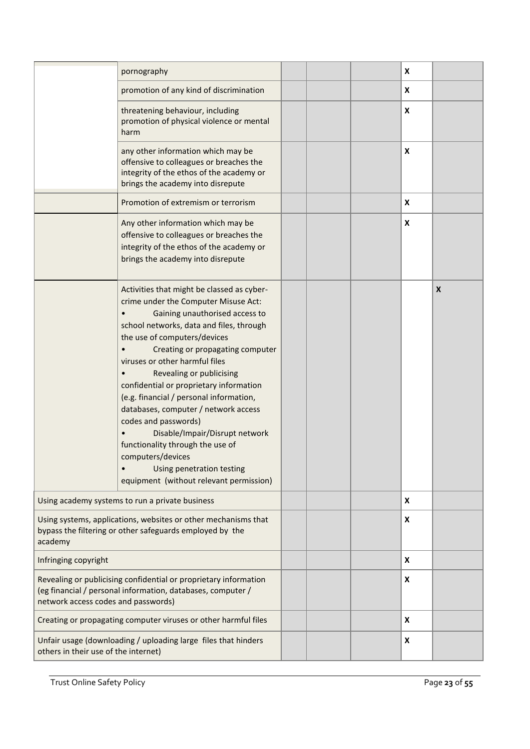|                                                                                                                                                                        | pornography                                                                                                                                                                                                                                                                                                                                                                                                                                                                                                                                                                                                                 |  | X |                           |
|------------------------------------------------------------------------------------------------------------------------------------------------------------------------|-----------------------------------------------------------------------------------------------------------------------------------------------------------------------------------------------------------------------------------------------------------------------------------------------------------------------------------------------------------------------------------------------------------------------------------------------------------------------------------------------------------------------------------------------------------------------------------------------------------------------------|--|---|---------------------------|
|                                                                                                                                                                        | promotion of any kind of discrimination                                                                                                                                                                                                                                                                                                                                                                                                                                                                                                                                                                                     |  | X |                           |
|                                                                                                                                                                        | threatening behaviour, including<br>promotion of physical violence or mental<br>harm                                                                                                                                                                                                                                                                                                                                                                                                                                                                                                                                        |  | X |                           |
|                                                                                                                                                                        | any other information which may be<br>offensive to colleagues or breaches the<br>integrity of the ethos of the academy or<br>brings the academy into disrepute                                                                                                                                                                                                                                                                                                                                                                                                                                                              |  | X |                           |
|                                                                                                                                                                        | Promotion of extremism or terrorism                                                                                                                                                                                                                                                                                                                                                                                                                                                                                                                                                                                         |  | X |                           |
|                                                                                                                                                                        | Any other information which may be<br>offensive to colleagues or breaches the<br>integrity of the ethos of the academy or<br>brings the academy into disrepute                                                                                                                                                                                                                                                                                                                                                                                                                                                              |  | X |                           |
|                                                                                                                                                                        | Activities that might be classed as cyber-<br>crime under the Computer Misuse Act:<br>Gaining unauthorised access to<br>school networks, data and files, through<br>the use of computers/devices<br>Creating or propagating computer<br>viruses or other harmful files<br>Revealing or publicising<br>confidential or proprietary information<br>(e.g. financial / personal information,<br>databases, computer / network access<br>codes and passwords)<br>Disable/Impair/Disrupt network<br>functionality through the use of<br>computers/devices<br>Using penetration testing<br>equipment (without relevant permission) |  |   | $\boldsymbol{\mathsf{X}}$ |
|                                                                                                                                                                        | Using academy systems to run a private business                                                                                                                                                                                                                                                                                                                                                                                                                                                                                                                                                                             |  | X |                           |
| Using systems, applications, websites or other mechanisms that<br>bypass the filtering or other safeguards employed by the<br>academy                                  |                                                                                                                                                                                                                                                                                                                                                                                                                                                                                                                                                                                                                             |  | X |                           |
| Infringing copyright                                                                                                                                                   |                                                                                                                                                                                                                                                                                                                                                                                                                                                                                                                                                                                                                             |  | X |                           |
| Revealing or publicising confidential or proprietary information<br>(eg financial / personal information, databases, computer /<br>network access codes and passwords) |                                                                                                                                                                                                                                                                                                                                                                                                                                                                                                                                                                                                                             |  | X |                           |
|                                                                                                                                                                        | Creating or propagating computer viruses or other harmful files                                                                                                                                                                                                                                                                                                                                                                                                                                                                                                                                                             |  | X |                           |
| others in their use of the internet)                                                                                                                                   | Unfair usage (downloading / uploading large files that hinders                                                                                                                                                                                                                                                                                                                                                                                                                                                                                                                                                              |  | X |                           |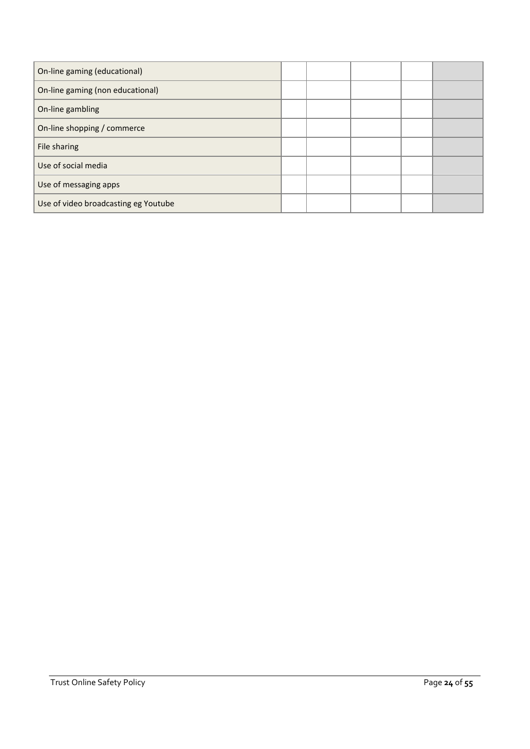| On-line gaming (educational)         |  |  |  |
|--------------------------------------|--|--|--|
| On-line gaming (non educational)     |  |  |  |
| On-line gambling                     |  |  |  |
| On-line shopping / commerce          |  |  |  |
| File sharing                         |  |  |  |
| Use of social media                  |  |  |  |
| Use of messaging apps                |  |  |  |
| Use of video broadcasting eg Youtube |  |  |  |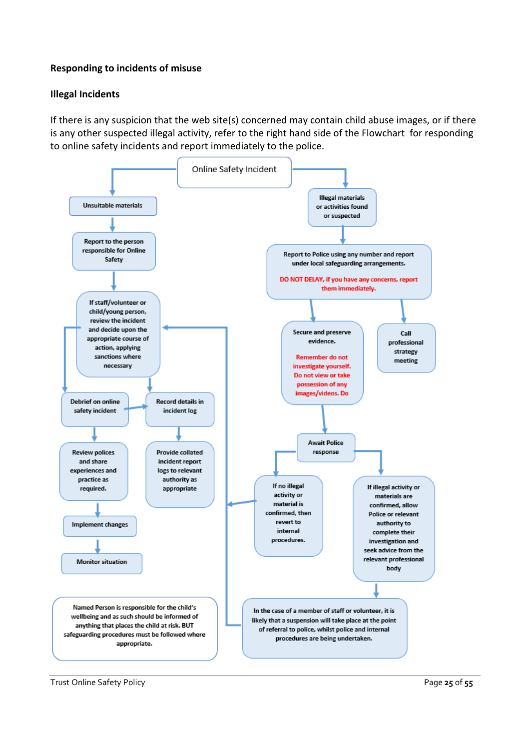#### **Responding to incidents of misuse**

#### **Illegal Incidents**

If there is any suspicion that the web site(s) concerned may contain child abuse images, or if there is any other suspected illegal activity, refer to the right hand side of the Flowchart for responding to online safety incidents and report immediately to the police.

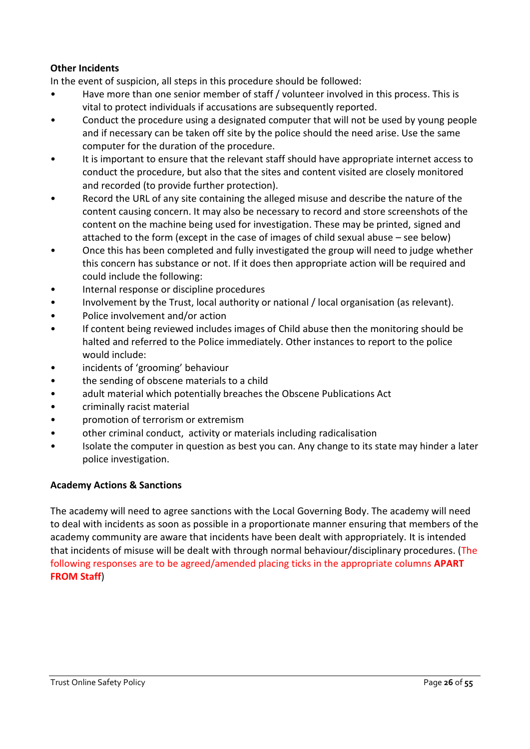# **Other Incidents**

In the event of suspicion, all steps in this procedure should be followed:

- Have more than one senior member of staff / volunteer involved in this process. This is vital to protect individuals if accusations are subsequently reported.
- Conduct the procedure using a designated computer that will not be used by young people and if necessary can be taken off site by the police should the need arise. Use the same computer for the duration of the procedure.
- It is important to ensure that the relevant staff should have appropriate internet access to conduct the procedure, but also that the sites and content visited are closely monitored and recorded (to provide further protection).
- Record the URL of any site containing the alleged misuse and describe the nature of the content causing concern. It may also be necessary to record and store screenshots of the content on the machine being used for investigation. These may be printed, signed and attached to the form (except in the case of images of child sexual abuse – see below)
- Once this has been completed and fully investigated the group will need to judge whether this concern has substance or not. If it does then appropriate action will be required and could include the following:
- Internal response or discipline procedures
- Involvement by the Trust, local authority or national / local organisation (as relevant).
- Police involvement and/or action
- If content being reviewed includes images of Child abuse then the monitoring should be halted and referred to the Police immediately. Other instances to report to the police would include:
- incidents of 'grooming' behaviour
- the sending of obscene materials to a child
- adult material which potentially breaches the Obscene Publications Act
- criminally racist material
- promotion of terrorism or extremism
- other criminal conduct, activity or materials including radicalisation
- Isolate the computer in question as best you can. Any change to its state may hinder a later police investigation.

## **Academy Actions & Sanctions**

The academy will need to agree sanctions with the Local Governing Body. The academy will need to deal with incidents as soon as possible in a proportionate manner ensuring that members of the academy community are aware that incidents have been dealt with appropriately. It is intended that incidents of misuse will be dealt with through normal behaviour/disciplinary procedures. (The following responses are to be agreed/amended placing ticks in the appropriate columns **APART FROM Staff**)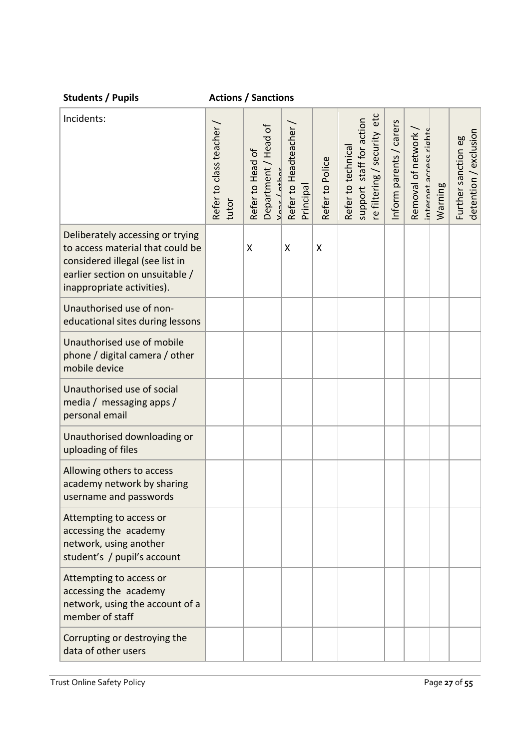| <b>Students / Pupils</b>                                                                                                                                                 |                                   | <b>Actions / Sanctions</b>                            |                                   |                 |                                                                                     |                         |                                             |         |                                              |
|--------------------------------------------------------------------------------------------------------------------------------------------------------------------------|-----------------------------------|-------------------------------------------------------|-----------------------------------|-----------------|-------------------------------------------------------------------------------------|-------------------------|---------------------------------------------|---------|----------------------------------------------|
| Incidents:                                                                                                                                                               | Refer to class teacher /<br>tutor | Department / Head of<br>Refer to Head of<br>what lata | Refer to Headteacher<br>Principal | Refer to Police | etc<br>staff for action<br>re filtering / security<br>Refer to technical<br>support | Inform parents / carers | Removal of network<br>internet access right | Warning | detention / exclusion<br>Further sanction eg |
| Deliberately accessing or trying<br>to access material that could be<br>considered illegal (see list in<br>earlier section on unsuitable /<br>inappropriate activities). |                                   | X                                                     | X                                 | X               |                                                                                     |                         |                                             |         |                                              |
| Unauthorised use of non-<br>educational sites during lessons                                                                                                             |                                   |                                                       |                                   |                 |                                                                                     |                         |                                             |         |                                              |
| Unauthorised use of mobile<br>phone / digital camera / other<br>mobile device                                                                                            |                                   |                                                       |                                   |                 |                                                                                     |                         |                                             |         |                                              |
| Unauthorised use of social<br>media / messaging apps /<br>personal email                                                                                                 |                                   |                                                       |                                   |                 |                                                                                     |                         |                                             |         |                                              |
| Unauthorised downloading or<br>uploading of files                                                                                                                        |                                   |                                                       |                                   |                 |                                                                                     |                         |                                             |         |                                              |
| Allowing others to access<br>academy network by sharing<br>username and passwords                                                                                        |                                   |                                                       |                                   |                 |                                                                                     |                         |                                             |         |                                              |
| Attempting to access or<br>accessing the academy<br>network, using another<br>student's / pupil's account                                                                |                                   |                                                       |                                   |                 |                                                                                     |                         |                                             |         |                                              |
| Attempting to access or<br>accessing the academy<br>network, using the account of a<br>member of staff                                                                   |                                   |                                                       |                                   |                 |                                                                                     |                         |                                             |         |                                              |
| Corrupting or destroying the<br>data of other users                                                                                                                      |                                   |                                                       |                                   |                 |                                                                                     |                         |                                             |         |                                              |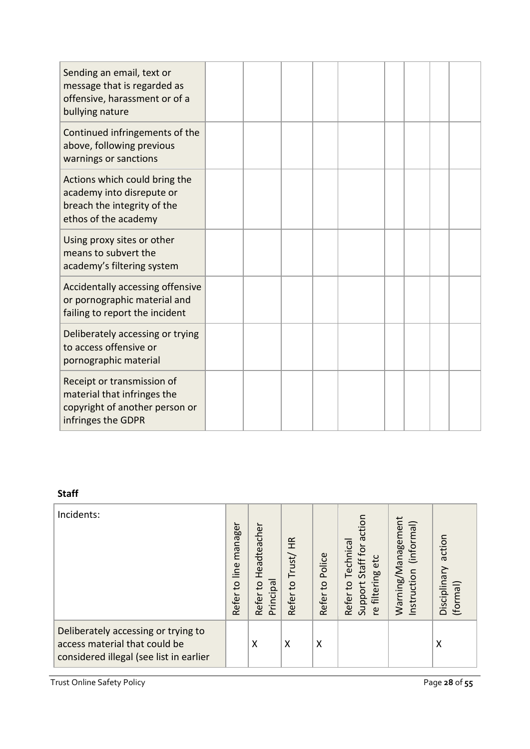| Sending an email, text or<br>message that is regarded as<br>offensive, harassment or of a<br>bullying nature      |  |  |  |  |  |
|-------------------------------------------------------------------------------------------------------------------|--|--|--|--|--|
| Continued infringements of the<br>above, following previous<br>warnings or sanctions                              |  |  |  |  |  |
| Actions which could bring the<br>academy into disrepute or<br>breach the integrity of the<br>ethos of the academy |  |  |  |  |  |
| Using proxy sites or other<br>means to subvert the<br>academy's filtering system                                  |  |  |  |  |  |
| Accidentally accessing offensive<br>or pornographic material and<br>failing to report the incident                |  |  |  |  |  |
| Deliberately accessing or trying<br>to access offensive or<br>pornographic material                               |  |  |  |  |  |
| Receipt or transmission of<br>material that infringes the<br>copyright of another person or<br>infringes the GDPR |  |  |  |  |  |

# **Staff**

| Incidents:                                                                                                      | manager<br>line<br>$\overline{c}$<br>Refer | Headteacher<br>Principal<br>Refer to | HR<br>Trust/<br>Refer to | Police<br>$\mathtt{c}$<br>Refer | action<br>Technical<br>Staff for<br>etc<br><b>filtering</b><br>Support:<br>Refer to<br>Γe | Warning/Management<br>(informal)<br>Instruction | action<br>Disciplinary<br>(formal) |
|-----------------------------------------------------------------------------------------------------------------|--------------------------------------------|--------------------------------------|--------------------------|---------------------------------|-------------------------------------------------------------------------------------------|-------------------------------------------------|------------------------------------|
| Deliberately accessing or trying to<br>access material that could be<br>considered illegal (see list in earlier |                                            | X                                    | X                        | X                               |                                                                                           |                                                 | Χ                                  |

Trust Online Safety Policy Page 28 of 55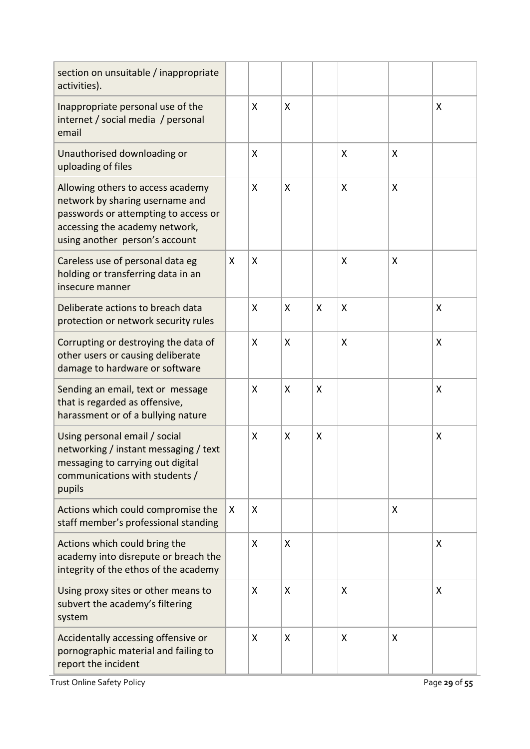| section on unsuitable / inappropriate<br>activities).                                                                                                                            |   |   |   |              |   |   |   |
|----------------------------------------------------------------------------------------------------------------------------------------------------------------------------------|---|---|---|--------------|---|---|---|
| Inappropriate personal use of the<br>internet / social media / personal<br>email                                                                                                 |   | X | X |              |   |   | X |
| Unauthorised downloading or<br>uploading of files                                                                                                                                |   | X |   |              | X | X |   |
| Allowing others to access academy<br>network by sharing username and<br>passwords or attempting to access or<br>accessing the academy network,<br>using another person's account |   | X | X |              | X | X |   |
| Careless use of personal data eg<br>holding or transferring data in an<br>insecure manner                                                                                        | X | X |   |              | X | X |   |
| Deliberate actions to breach data<br>protection or network security rules                                                                                                        |   | X | X | X            | X |   | X |
| Corrupting or destroying the data of<br>other users or causing deliberate<br>damage to hardware or software                                                                      |   | X | X |              | X |   | X |
| Sending an email, text or message<br>that is regarded as offensive,<br>harassment or of a bullying nature                                                                        |   | X | X | $\mathsf{X}$ |   |   | X |
| Using personal email / social<br>networking / instant messaging / text<br>messaging to carrying out digital<br>communications with students /<br>pupils                          |   | X | X | $\mathsf{X}$ |   |   | X |
| Actions which could compromise the<br>staff member's professional standing                                                                                                       | X | X |   |              |   | X |   |
| Actions which could bring the<br>academy into disrepute or breach the<br>integrity of the ethos of the academy                                                                   |   | X | X |              |   |   | X |
| Using proxy sites or other means to<br>subvert the academy's filtering<br>system                                                                                                 |   | X | X |              | X |   | X |
| Accidentally accessing offensive or<br>pornographic material and failing to<br>report the incident                                                                               |   | X | X |              | X | X |   |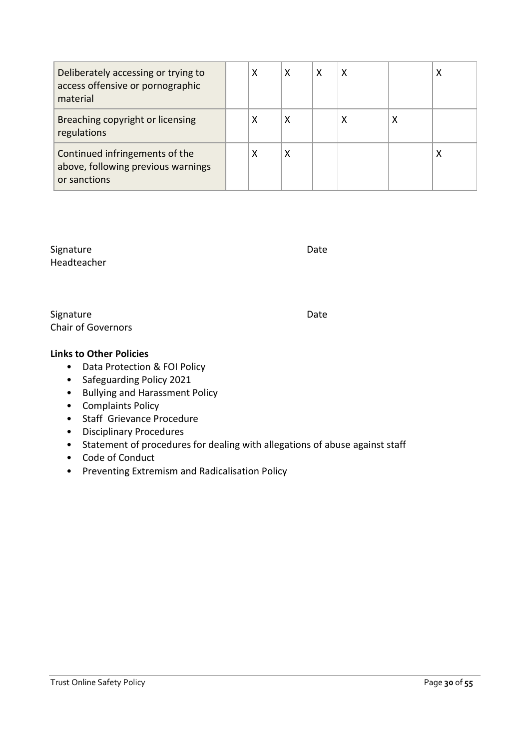| Deliberately accessing or trying to<br>access offensive or pornographic<br>material  | χ | x | х |   |   |   |
|--------------------------------------------------------------------------------------|---|---|---|---|---|---|
| Breaching copyright or licensing<br>regulations                                      | х | х |   | х | х |   |
| Continued infringements of the<br>above, following previous warnings<br>or sanctions | х | Χ |   |   |   | ∧ |

Signature Date Date Date Headteacher

Signature Date Date Date Chair of Governors

#### **Links to Other Policies**

- Data Protection & FOI Policy
- Safeguarding Policy 2021
- Bullying and Harassment Policy
- Complaints Policy
- Staff Grievance Procedure
- Disciplinary Procedures
- Statement of procedures for dealing with allegations of abuse against staff
- Code of Conduct
- Preventing Extremism and Radicalisation Policy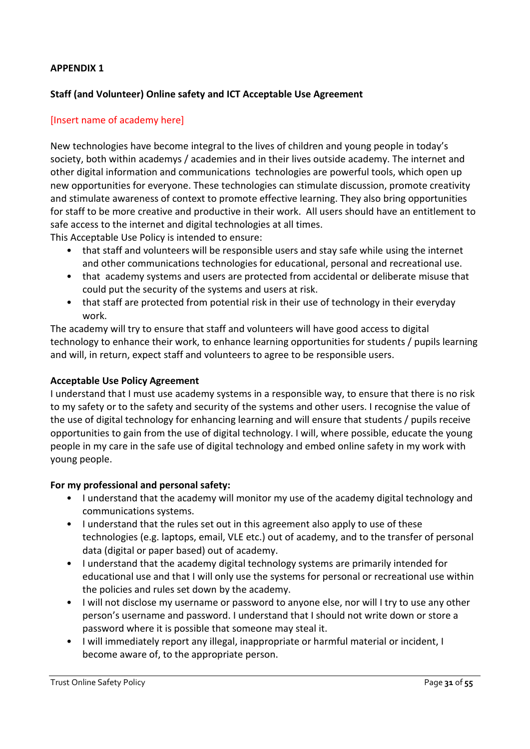#### **APPENDIX 1**

#### **Staff (and Volunteer) Online safety and ICT Acceptable Use Agreement**

#### [Insert name of academy here]

New technologies have become integral to the lives of children and young people in today's society, both within academys / academies and in their lives outside academy. The internet and other digital information and communications technologies are powerful tools, which open up new opportunities for everyone. These technologies can stimulate discussion, promote creativity and stimulate awareness of context to promote effective learning. They also bring opportunities for staff to be more creative and productive in their work. All users should have an entitlement to safe access to the internet and digital technologies at all times.

This Acceptable Use Policy is intended to ensure:

- that staff and volunteers will be responsible users and stay safe while using the internet and other communications technologies for educational, personal and recreational use.
- that academy systems and users are protected from accidental or deliberate misuse that could put the security of the systems and users at risk.
- that staff are protected from potential risk in their use of technology in their everyday work.

The academy will try to ensure that staff and volunteers will have good access to digital technology to enhance their work, to enhance learning opportunities for students / pupils learning and will, in return, expect staff and volunteers to agree to be responsible users.

#### **Acceptable Use Policy Agreement**

I understand that I must use academy systems in a responsible way, to ensure that there is no risk to my safety or to the safety and security of the systems and other users. I recognise the value of the use of digital technology for enhancing learning and will ensure that students / pupils receive opportunities to gain from the use of digital technology. I will, where possible, educate the young people in my care in the safe use of digital technology and embed online safety in my work with young people.

#### **For my professional and personal safety:**

- I understand that the academy will monitor my use of the academy digital technology and communications systems.
- I understand that the rules set out in this agreement also apply to use of these technologies (e.g. laptops, email, VLE etc.) out of academy, and to the transfer of personal data (digital or paper based) out of academy.
- I understand that the academy digital technology systems are primarily intended for educational use and that I will only use the systems for personal or recreational use within the policies and rules set down by the academy.
- I will not disclose my username or password to anyone else, nor will I try to use any other person's username and password. I understand that I should not write down or store a password where it is possible that someone may steal it.
- I will immediately report any illegal, inappropriate or harmful material or incident, I become aware of, to the appropriate person.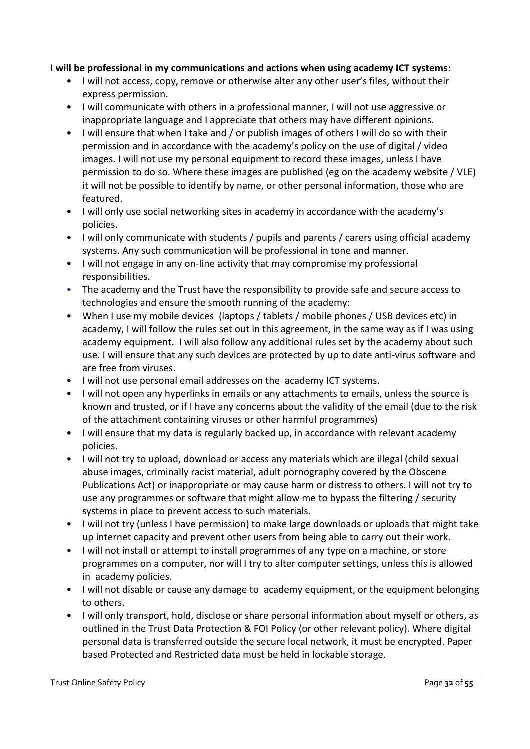#### **I will be professional in my communications and actions when using academy ICT systems**:

- I will not access, copy, remove or otherwise alter any other user's files, without their express permission.
- I will communicate with others in a professional manner, I will not use aggressive or inappropriate language and I appreciate that others may have different opinions.
- I will ensure that when I take and / or publish images of others I will do so with their permission and in accordance with the academy's policy on the use of digital / video images. I will not use my personal equipment to record these images, unless I have permission to do so. Where these images are published (eg on the academy website / VLE) it will not be possible to identify by name, or other personal information, those who are featured.
- I will only use social networking sites in academy in accordance with the academy's policies.
- I will only communicate with students / pupils and parents / carers using official academy systems. Any such communication will be professional in tone and manner.
- I will not engage in any on-line activity that may compromise my professional responsibilities.
- The academy and the Trust have the responsibility to provide safe and secure access to technologies and ensure the smooth running of the academy:
- When I use my mobile devices (laptops / tablets / mobile phones / USB devices etc) in academy, I will follow the rules set out in this agreement, in the same way as if I was using academy equipment. I will also follow any additional rules set by the academy about such use. I will ensure that any such devices are protected by up to date anti-virus software and are free from viruses.
- I will not use personal email addresses on the academy ICT systems.
- I will not open any hyperlinks in emails or any attachments to emails, unless the source is known and trusted, or if I have any concerns about the validity of the email (due to the risk of the attachment containing viruses or other harmful programmes)
- I will ensure that my data is regularly backed up, in accordance with relevant academy policies.
- I will not try to upload, download or access any materials which are illegal (child sexual abuse images, criminally racist material, adult pornography covered by the Obscene Publications Act) or inappropriate or may cause harm or distress to others. I will not try to use any programmes or software that might allow me to bypass the filtering / security systems in place to prevent access to such materials.
- I will not try (unless I have permission) to make large downloads or uploads that might take up internet capacity and prevent other users from being able to carry out their work.
- I will not install or attempt to install programmes of any type on a machine, or store programmes on a computer, nor will I try to alter computer settings, unless this is allowed in academy policies.
- I will not disable or cause any damage to academy equipment, or the equipment belonging to others.
- I will only transport, hold, disclose or share personal information about myself or others, as outlined in the Trust Data Protection & FOI Policy (or other relevant policy). Where digital personal data is transferred outside the secure local network, it must be encrypted. Paper based Protected and Restricted data must be held in lockable storage.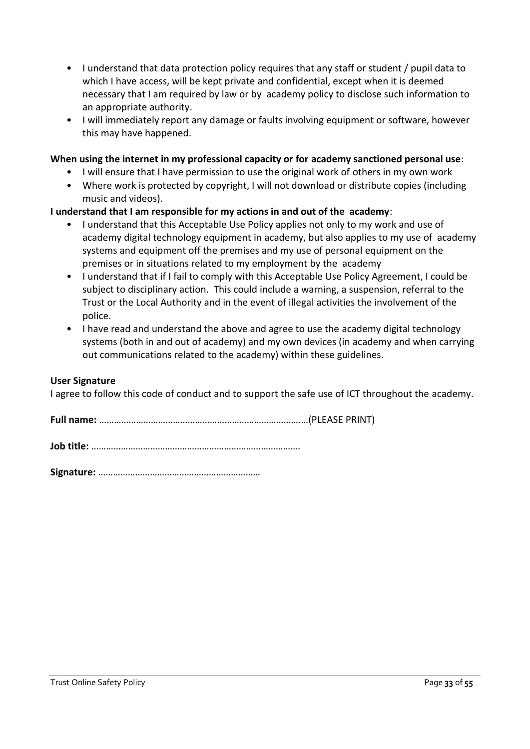- I understand that data protection policy requires that any staff or student / pupil data to which I have access, will be kept private and confidential, except when it is deemed necessary that I am required by law or by academy policy to disclose such information to an appropriate authority.
- I will immediately report any damage or faults involving equipment or software, however this may have happened.

#### **When using the internet in my professional capacity or for academy sanctioned personal use**:

- I will ensure that I have permission to use the original work of others in my own work
- Where work is protected by copyright, I will not download or distribute copies (including music and videos).

#### **I understand that I am responsible for my actions in and out of the academy**:

- I understand that this Acceptable Use Policy applies not only to my work and use of academy digital technology equipment in academy, but also applies to my use of academy systems and equipment off the premises and my use of personal equipment on the premises or in situations related to my employment by the academy
- I understand that if I fail to comply with this Acceptable Use Policy Agreement, I could be subject to disciplinary action. This could include a warning, a suspension, referral to the Trust or the Local Authority and in the event of illegal activities the involvement of the police.
- I have read and understand the above and agree to use the academy digital technology systems (both in and out of academy) and my own devices (in academy and when carrying out communications related to the academy) within these guidelines.

#### **User Signature**

I agree to follow this code of conduct and to support the safe use of ICT throughout the academy.

**Signature:** …………………………………………………………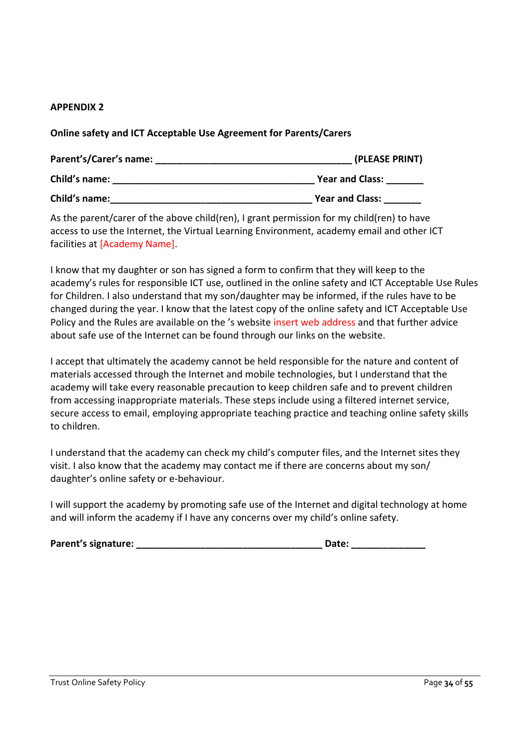#### **APPENDIX 2**

**Online safety and ICT Acceptable Use Agreement for Parents/Carers**

| Parent's/Carer's name: | (PLEASE PRINT)         |  |  |
|------------------------|------------------------|--|--|
| Child's name:          | <b>Year and Class:</b> |  |  |
| Child's name:          | <b>Year and Class:</b> |  |  |

As the parent/carer of the above child(ren), I grant permission for my child(ren) to have access to use the Internet, the Virtual Learning Environment, academy email and other ICT facilities at [Academy Name].

I know that my daughter or son has signed a form to confirm that they will keep to the academy's rules for responsible ICT use, outlined in the online safety and ICT Acceptable Use Rules for Children. I also understand that my son/daughter may be informed, if the rules have to be changed during the year. I know that the latest copy of the online safety and ICT Acceptable Use Policy and the Rules are available on the 's website insert web address and that further advice about safe use of the Internet can be found through our links on the website.

I accept that ultimately the academy cannot be held responsible for the nature and content of materials accessed through the Internet and mobile technologies, but I understand that the academy will take every reasonable precaution to keep children safe and to prevent children from accessing inappropriate materials. These steps include using a filtered internet service, secure access to email, employing appropriate teaching practice and teaching online safety skills to children.

I understand that the academy can check my child's computer files, and the Internet sites they visit. I also know that the academy may contact me if there are concerns about my son/ daughter's online safety or e-behaviour.

I will support the academy by promoting safe use of the Internet and digital technology at home and will inform the academy if I have any concerns over my child's online safety.

|  | Parent's signature: |
|--|---------------------|
|--|---------------------|

**Pate: \_\_\_\_\_\_\_\_\_\_\_**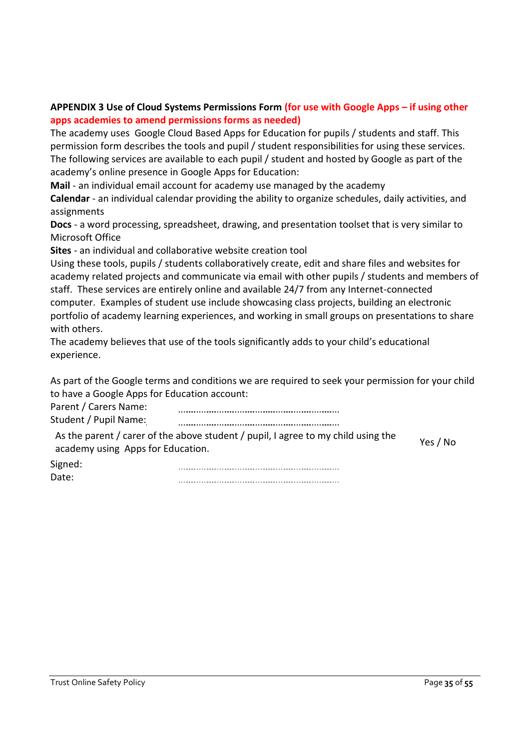# **APPENDIX 3 Use of Cloud Systems Permissions Form (for use with Google Apps – if using other apps academies to amend permissions forms as needed)**

The academy uses Google Cloud Based Apps for Education for pupils / students and staff. This permission form describes the tools and pupil / student responsibilities for using these services. The following services are available to each pupil / student and hosted by Google as part of the academy's online presence in Google Apps for Education:

**Mail** - an individual email account for academy use managed by the academy

**Calendar** - an individual calendar providing the ability to organize schedules, daily activities, and assignments

**Docs** - a word processing, spreadsheet, drawing, and presentation toolset that is very similar to Microsoft Office

**Sites** - an individual and collaborative website creation tool

Using these tools, pupils / students collaboratively create, edit and share files and websites for academy related projects and communicate via email with other pupils / students and members of staff. These services are entirely online and available 24/7 from any Internet-connected computer. Examples of student use include showcasing class projects, building an electronic portfolio of academy learning experiences, and working in small groups on presentations to share with others.

The academy believes that use of the tools significantly adds to your child's educational experience.

As part of the Google terms and conditions we are required to seek your permission for your child to have a Google Apps for Education account:

Parent / Carers Name: 

Student / Pupil Name: 

As the parent / carer of the above student / pupil, I agree to my child using the As the parently earer of the above studently pupil, ragice to my ennu using the Yes / No<br>academy using Apps for Education.

Signed:

Date: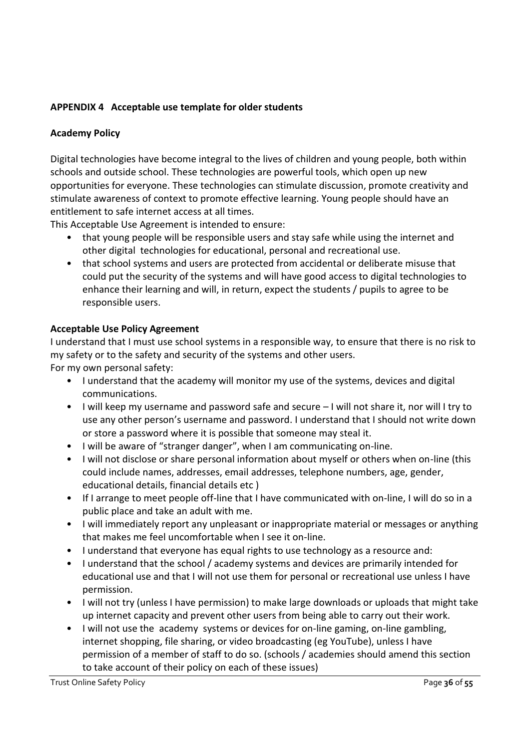# **APPENDIX 4 Acceptable use template for older students**

#### **Academy Policy**

Digital technologies have become integral to the lives of children and young people, both within schools and outside school. These technologies are powerful tools, which open up new opportunities for everyone. These technologies can stimulate discussion, promote creativity and stimulate awareness of context to promote effective learning. Young people should have an entitlement to safe internet access at all times.

This Acceptable Use Agreement is intended to ensure:

- that young people will be responsible users and stay safe while using the internet and other digital technologies for educational, personal and recreational use.
- that school systems and users are protected from accidental or deliberate misuse that could put the security of the systems and will have good access to digital technologies to enhance their learning and will, in return, expect the students / pupils to agree to be responsible users.

#### **Acceptable Use Policy Agreement**

I understand that I must use school systems in a responsible way, to ensure that there is no risk to my safety or to the safety and security of the systems and other users. For my own personal safety:

- I understand that the academy will monitor my use of the systems, devices and digital communications.
- I will keep my username and password safe and secure I will not share it, nor will I try to use any other person's username and password. I understand that I should not write down or store a password where it is possible that someone may steal it.
- I will be aware of "stranger danger", when I am communicating on-line.
- I will not disclose or share personal information about myself or others when on-line (this could include names, addresses, email addresses, telephone numbers, age, gender, educational details, financial details etc )
- If I arrange to meet people off-line that I have communicated with on-line, I will do so in a public place and take an adult with me.
- I will immediately report any unpleasant or inappropriate material or messages or anything that makes me feel uncomfortable when I see it on-line.
- I understand that everyone has equal rights to use technology as a resource and:
- I understand that the school / academy systems and devices are primarily intended for educational use and that I will not use them for personal or recreational use unless I have permission.
- I will not try (unless I have permission) to make large downloads or uploads that might take up internet capacity and prevent other users from being able to carry out their work.
- I will not use the academy systems or devices for on-line gaming, on-line gambling, internet shopping, file sharing, or video broadcasting (eg YouTube), unless I have permission of a member of staff to do so. (schools / academies should amend this section to take account of their policy on each of these issues)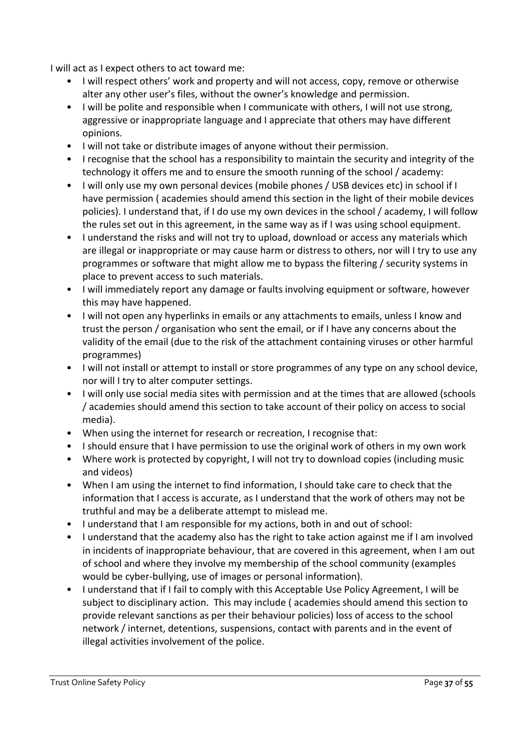I will act as I expect others to act toward me:

- I will respect others' work and property and will not access, copy, remove or otherwise alter any other user's files, without the owner's knowledge and permission.
- I will be polite and responsible when I communicate with others, I will not use strong, aggressive or inappropriate language and I appreciate that others may have different opinions.
- I will not take or distribute images of anyone without their permission.
- I recognise that the school has a responsibility to maintain the security and integrity of the technology it offers me and to ensure the smooth running of the school / academy:
- I will only use my own personal devices (mobile phones / USB devices etc) in school if I have permission ( academies should amend this section in the light of their mobile devices policies). I understand that, if I do use my own devices in the school / academy, I will follow the rules set out in this agreement, in the same way as if I was using school equipment.
- I understand the risks and will not try to upload, download or access any materials which are illegal or inappropriate or may cause harm or distress to others, nor will I try to use any programmes or software that might allow me to bypass the filtering / security systems in place to prevent access to such materials.
- I will immediately report any damage or faults involving equipment or software, however this may have happened.
- I will not open any hyperlinks in emails or any attachments to emails, unless I know and trust the person / organisation who sent the email, or if I have any concerns about the validity of the email (due to the risk of the attachment containing viruses or other harmful programmes)
- I will not install or attempt to install or store programmes of any type on any school device, nor will I try to alter computer settings.
- I will only use social media sites with permission and at the times that are allowed (schools / academies should amend this section to take account of their policy on access to social media).
- When using the internet for research or recreation, I recognise that:
- I should ensure that I have permission to use the original work of others in my own work
- Where work is protected by copyright, I will not try to download copies (including music and videos)
- When I am using the internet to find information, I should take care to check that the information that I access is accurate, as I understand that the work of others may not be truthful and may be a deliberate attempt to mislead me.
- I understand that I am responsible for my actions, both in and out of school:
- I understand that the academy also has the right to take action against me if I am involved in incidents of inappropriate behaviour, that are covered in this agreement, when I am out of school and where they involve my membership of the school community (examples would be cyber-bullying, use of images or personal information).
- I understand that if I fail to comply with this Acceptable Use Policy Agreement, I will be subject to disciplinary action. This may include ( academies should amend this section to provide relevant sanctions as per their behaviour policies) loss of access to the school network / internet, detentions, suspensions, contact with parents and in the event of illegal activities involvement of the police.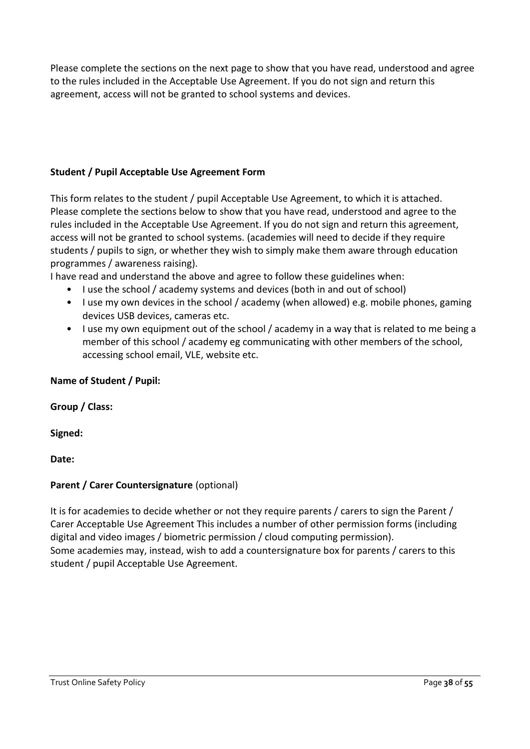Please complete the sections on the next page to show that you have read, understood and agree to the rules included in the Acceptable Use Agreement. If you do not sign and return this agreement, access will not be granted to school systems and devices.

# **Student / Pupil Acceptable Use Agreement Form**

This form relates to the student / pupil Acceptable Use Agreement, to which it is attached. Please complete the sections below to show that you have read, understood and agree to the rules included in the Acceptable Use Agreement. If you do not sign and return this agreement, access will not be granted to school systems. (academies will need to decide if they require students / pupils to sign, or whether they wish to simply make them aware through education programmes / awareness raising).

I have read and understand the above and agree to follow these guidelines when:

- I use the school / academy systems and devices (both in and out of school)
- I use my own devices in the school / academy (when allowed) e.g. mobile phones, gaming devices USB devices, cameras etc.
- I use my own equipment out of the school / academy in a way that is related to me being a member of this school / academy eg communicating with other members of the school, accessing school email, VLE, website etc.

## **Name of Student / Pupil:**

**Group / Class:**

**Signed:**

**Date:**

# **Parent / Carer Countersignature** (optional)

It is for academies to decide whether or not they require parents / carers to sign the Parent / Carer Acceptable Use Agreement This includes a number of other permission forms (including digital and video images / biometric permission / cloud computing permission). Some academies may, instead, wish to add a countersignature box for parents / carers to this student / pupil Acceptable Use Agreement.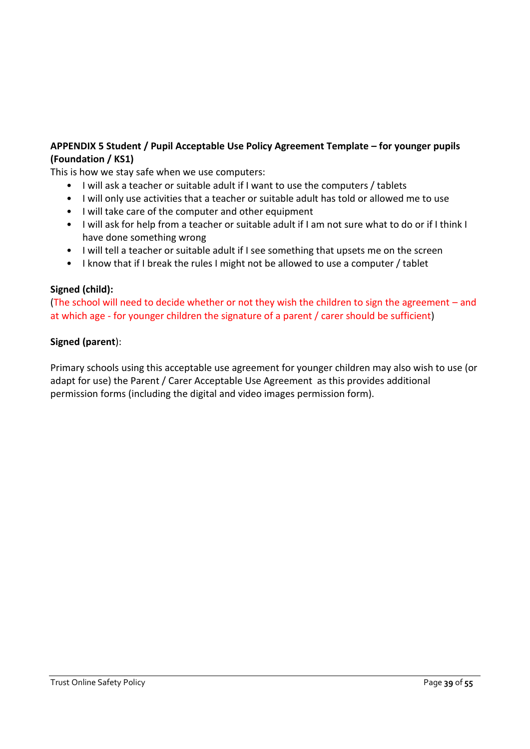# **APPENDIX 5 Student / Pupil Acceptable Use Policy Agreement Template – for younger pupils (Foundation / KS1)**

This is how we stay safe when we use computers:

- I will ask a teacher or suitable adult if I want to use the computers / tablets
- I will only use activities that a teacher or suitable adult has told or allowed me to use
- I will take care of the computer and other equipment
- I will ask for help from a teacher or suitable adult if I am not sure what to do or if I think I have done something wrong
- I will tell a teacher or suitable adult if I see something that upsets me on the screen
- I know that if I break the rules I might not be allowed to use a computer / tablet

# **Signed (child):**

(The school will need to decide whether or not they wish the children to sign the agreement – and at which age - for younger children the signature of a parent / carer should be sufficient)

## **Signed (parent**):

Primary schools using this acceptable use agreement for younger children may also wish to use (or adapt for use) the Parent / Carer Acceptable Use Agreement as this provides additional permission forms (including the digital and video images permission form).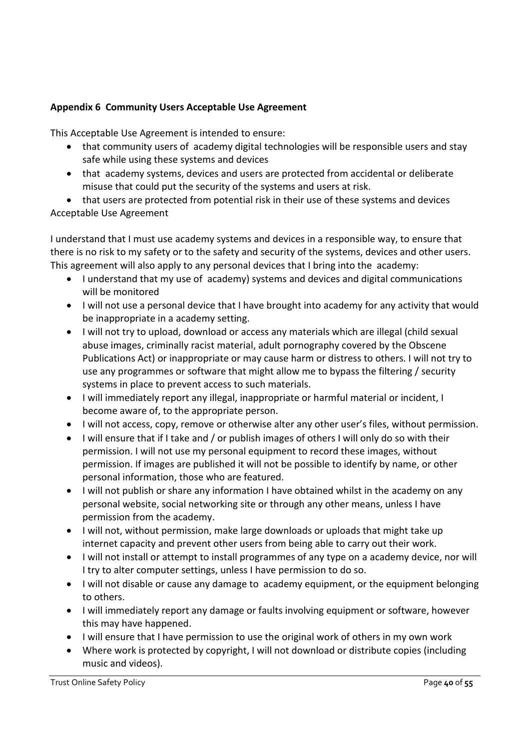# **Appendix 6 Community Users Acceptable Use Agreement**

This Acceptable Use Agreement is intended to ensure:

- that community users of academy digital technologies will be responsible users and stay safe while using these systems and devices
- that academy systems, devices and users are protected from accidental or deliberate misuse that could put the security of the systems and users at risk.

• that users are protected from potential risk in their use of these systems and devices Acceptable Use Agreement

I understand that I must use academy systems and devices in a responsible way, to ensure that there is no risk to my safety or to the safety and security of the systems, devices and other users. This agreement will also apply to any personal devices that I bring into the academy:

- I understand that my use of academy) systems and devices and digital communications will be monitored
- I will not use a personal device that I have brought into academy for any activity that would be inappropriate in a academy setting.
- I will not try to upload, download or access any materials which are illegal (child sexual abuse images, criminally racist material, adult pornography covered by the Obscene Publications Act) or inappropriate or may cause harm or distress to others. I will not try to use any programmes or software that might allow me to bypass the filtering / security systems in place to prevent access to such materials.
- I will immediately report any illegal, inappropriate or harmful material or incident, I become aware of, to the appropriate person.
- I will not access, copy, remove or otherwise alter any other user's files, without permission.
- I will ensure that if I take and / or publish images of others I will only do so with their permission. I will not use my personal equipment to record these images, without permission. If images are published it will not be possible to identify by name, or other personal information, those who are featured.
- I will not publish or share any information I have obtained whilst in the academy on any personal website, social networking site or through any other means, unless I have permission from the academy.
- I will not, without permission, make large downloads or uploads that might take up internet capacity and prevent other users from being able to carry out their work.
- I will not install or attempt to install programmes of any type on a academy device, nor will I try to alter computer settings, unless I have permission to do so.
- I will not disable or cause any damage to academy equipment, or the equipment belonging to others.
- I will immediately report any damage or faults involving equipment or software, however this may have happened.
- I will ensure that I have permission to use the original work of others in my own work
- Where work is protected by copyright, I will not download or distribute copies (including music and videos).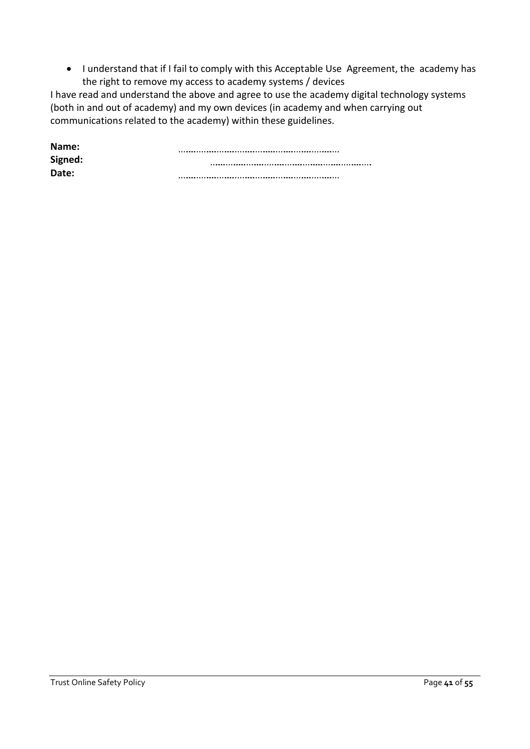• I understand that if I fail to comply with this Acceptable Use Agreement, the academy has the right to remove my access to academy systems / devices

I have read and understand the above and agree to use the academy digital technology systems (both in and out of academy) and my own devices (in academy and when carrying out communications related to the academy) within these guidelines.

| Name:   |  |
|---------|--|
| Signed: |  |
| Date:   |  |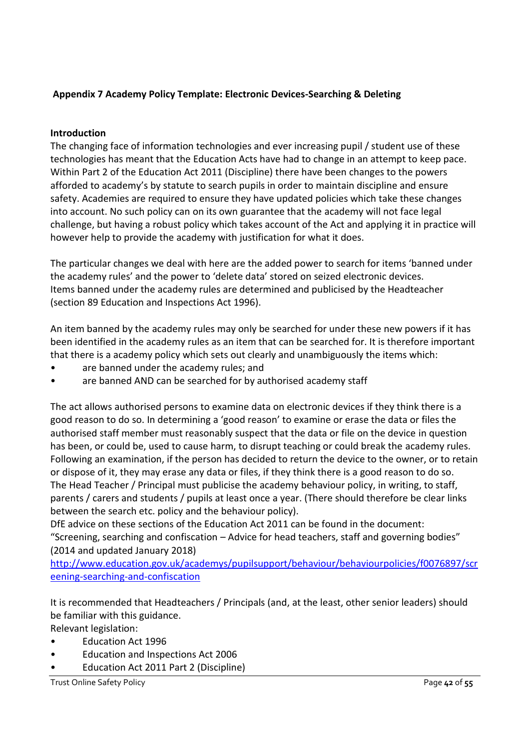# **Appendix 7 Academy Policy Template: Electronic Devices-Searching & Deleting**

#### **Introduction**

The changing face of information technologies and ever increasing pupil / student use of these technologies has meant that the Education Acts have had to change in an attempt to keep pace. Within Part 2 of the Education Act 2011 (Discipline) there have been changes to the powers afforded to academy's by statute to search pupils in order to maintain discipline and ensure safety. Academies are required to ensure they have updated policies which take these changes into account. No such policy can on its own guarantee that the academy will not face legal challenge, but having a robust policy which takes account of the Act and applying it in practice will however help to provide the academy with justification for what it does.

The particular changes we deal with here are the added power to search for items 'banned under the academy rules' and the power to 'delete data' stored on seized electronic devices. Items banned under the academy rules are determined and publicised by the Headteacher (section 89 Education and Inspections Act 1996).

An item banned by the academy rules may only be searched for under these new powers if it has been identified in the academy rules as an item that can be searched for. It is therefore important that there is a academy policy which sets out clearly and unambiguously the items which:

- are banned under the academy rules; and
- are banned AND can be searched for by authorised academy staff

The act allows authorised persons to examine data on electronic devices if they think there is a good reason to do so. In determining a 'good reason' to examine or erase the data or files the authorised staff member must reasonably suspect that the data or file on the device in question has been, or could be, used to cause harm, to disrupt teaching or could break the academy rules. Following an examination, if the person has decided to return the device to the owner, or to retain or dispose of it, they may erase any data or files, if they think there is a good reason to do so. The Head Teacher / Principal must publicise the academy behaviour policy, in writing, to staff, parents / carers and students / pupils at least once a year. (There should therefore be clear links between the search etc. policy and the behaviour policy).

DfE advice on these sections of the Education Act 2011 can be found in the document: "Screening, searching and confiscation – Advice for head teachers, staff and governing bodies" (2014 and updated January 2018)

[http://www.education.gov.uk/academys/pupilsupport/behaviour/behaviourpolicies/f0076897/scr](http://www.education.gov.uk/schools/pupilsupport/behaviour/behaviourpolicies/f0076897/screening-searching-and-confiscation) [eening-searching-and-confiscation](http://www.education.gov.uk/schools/pupilsupport/behaviour/behaviourpolicies/f0076897/screening-searching-and-confiscation)

It is recommended that Headteachers / Principals (and, at the least, other senior leaders) should be familiar with this guidance.

Relevant legislation:

- Education Act 1996
- Education and Inspections Act 2006
- Education Act 2011 Part 2 (Discipline)

Trust Online Safety Policy Page **42** of **55**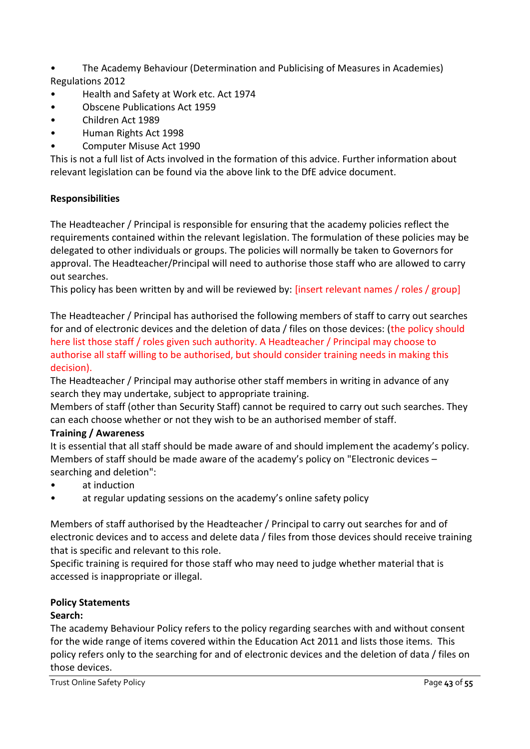- The Academy Behaviour (Determination and Publicising of Measures in Academies) Regulations 2012
- Health and Safety at Work etc. Act 1974
- Obscene Publications Act 1959
- Children Act 1989
- Human Rights Act 1998
- Computer Misuse Act 1990

This is not a full list of Acts involved in the formation of this advice. Further information about relevant legislation can be found via the above link to the DfE advice document.

# **Responsibilities**

The Headteacher / Principal is responsible for ensuring that the academy policies reflect the requirements contained within the relevant legislation. The formulation of these policies may be delegated to other individuals or groups. The policies will normally be taken to Governors for approval. The Headteacher/Principal will need to authorise those staff who are allowed to carry out searches.

This policy has been written by and will be reviewed by: [insert relevant names / roles / group]

The Headteacher / Principal has authorised the following members of staff to carry out searches for and of electronic devices and the deletion of data / files on those devices: (the policy should here list those staff / roles given such authority. A Headteacher / Principal may choose to authorise all staff willing to be authorised, but should consider training needs in making this decision).

The Headteacher / Principal may authorise other staff members in writing in advance of any search they may undertake, subject to appropriate training.

Members of staff (other than Security Staff) cannot be required to carry out such searches. They can each choose whether or not they wish to be an authorised member of staff.

# **Training / Awareness**

It is essential that all staff should be made aware of and should implement the academy's policy. Members of staff should be made aware of the academy's policy on "Electronic devices – searching and deletion":

- at induction
- at regular updating sessions on the academy's online safety policy

Members of staff authorised by the Headteacher / Principal to carry out searches for and of electronic devices and to access and delete data / files from those devices should receive training that is specific and relevant to this role.

Specific training is required for those staff who may need to judge whether material that is accessed is inappropriate or illegal.

## **Policy Statements**

## **Search:**

The academy Behaviour Policy refers to the policy regarding searches with and without consent for the wide range of items covered within the Education Act 2011 and lists those items. This policy refers only to the searching for and of electronic devices and the deletion of data / files on those devices.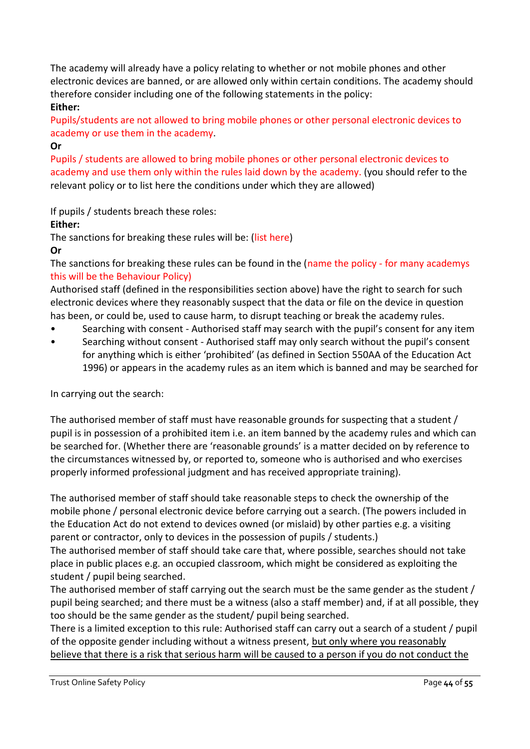The academy will already have a policy relating to whether or not mobile phones and other electronic devices are banned, or are allowed only within certain conditions. The academy should therefore consider including one of the following statements in the policy:

# **Either:**

Pupils/students are not allowed to bring mobile phones or other personal electronic devices to academy or use them in the academy.

# **Or**

Pupils / students are allowed to bring mobile phones or other personal electronic devices to academy and use them only within the rules laid down by the academy. (you should refer to the relevant policy or to list here the conditions under which they are allowed)

If pupils / students breach these roles:

# **Either:**

The sanctions for breaking these rules will be: (list here)

# **Or**

The sanctions for breaking these rules can be found in the (name the policy - for many academys this will be the Behaviour Policy)

Authorised staff (defined in the responsibilities section above) have the right to search for such electronic devices where they reasonably suspect that the data or file on the device in question has been, or could be, used to cause harm, to disrupt teaching or break the academy rules.

- Searching with consent Authorised staff may search with the pupil's consent for any item
- Searching without consent Authorised staff may only search without the pupil's consent for anything which is either 'prohibited' (as defined in Section 550AA of the Education Act 1996) or appears in the academy rules as an item which is banned and may be searched for

In carrying out the search:

The authorised member of staff must have reasonable grounds for suspecting that a student / pupil is in possession of a prohibited item i.e. an item banned by the academy rules and which can be searched for. (Whether there are 'reasonable grounds' is a matter decided on by reference to the circumstances witnessed by, or reported to, someone who is authorised and who exercises properly informed professional judgment and has received appropriate training).

The authorised member of staff should take reasonable steps to check the ownership of the mobile phone / personal electronic device before carrying out a search. (The powers included in the Education Act do not extend to devices owned (or mislaid) by other parties e.g. a visiting parent or contractor, only to devices in the possession of pupils / students.)

The authorised member of staff should take care that, where possible, searches should not take place in public places e.g. an occupied classroom, which might be considered as exploiting the student / pupil being searched.

The authorised member of staff carrying out the search must be the same gender as the student / pupil being searched; and there must be a witness (also a staff member) and, if at all possible, they too should be the same gender as the student/ pupil being searched.

There is a limited exception to this rule: Authorised staff can carry out a search of a student / pupil of the opposite gender including without a witness present, but only where you reasonably believe that there is a risk that serious harm will be caused to a person if you do not conduct the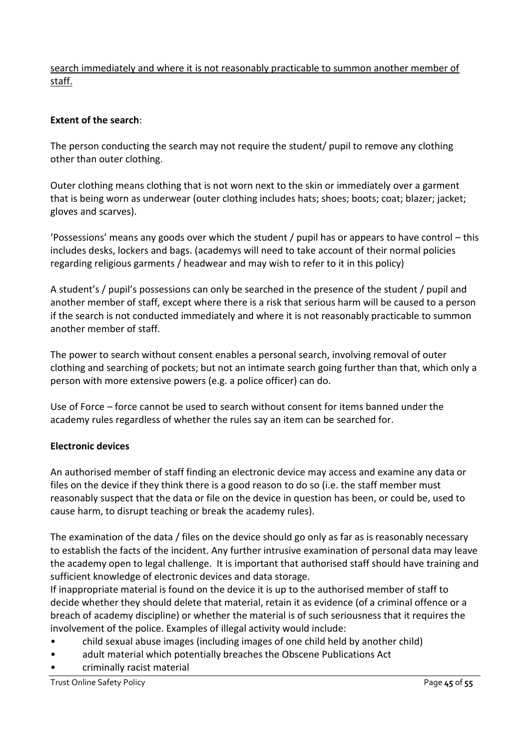search immediately and where it is not reasonably practicable to summon another member of staff.

## **Extent of the search**:

The person conducting the search may not require the student/ pupil to remove any clothing other than outer clothing.

Outer clothing means clothing that is not worn next to the skin or immediately over a garment that is being worn as underwear (outer clothing includes hats; shoes; boots; coat; blazer; jacket; gloves and scarves).

'Possessions' means any goods over which the student / pupil has or appears to have control – this includes desks, lockers and bags. (academys will need to take account of their normal policies regarding religious garments / headwear and may wish to refer to it in this policy)

A student's / pupil's possessions can only be searched in the presence of the student / pupil and another member of staff, except where there is a risk that serious harm will be caused to a person if the search is not conducted immediately and where it is not reasonably practicable to summon another member of staff.

The power to search without consent enables a personal search, involving removal of outer clothing and searching of pockets; but not an intimate search going further than that, which only a person with more extensive powers (e.g. a police officer) can do.

Use of Force – force cannot be used to search without consent for items banned under the academy rules regardless of whether the rules say an item can be searched for.

## **Electronic devices**

An authorised member of staff finding an electronic device may access and examine any data or files on the device if they think there is a good reason to do so (i.e. the staff member must reasonably suspect that the data or file on the device in question has been, or could be, used to cause harm, to disrupt teaching or break the academy rules).

The examination of the data / files on the device should go only as far as is reasonably necessary to establish the facts of the incident. Any further intrusive examination of personal data may leave the academy open to legal challenge. It is important that authorised staff should have training and sufficient knowledge of electronic devices and data storage.

If inappropriate material is found on the device it is up to the authorised member of staff to decide whether they should delete that material, retain it as evidence (of a criminal offence or a breach of academy discipline) or whether the material is of such seriousness that it requires the involvement of the police. Examples of illegal activity would include:

- child sexual abuse images (including images of one child held by another child)
- adult material which potentially breaches the Obscene Publications Act
- criminally racist material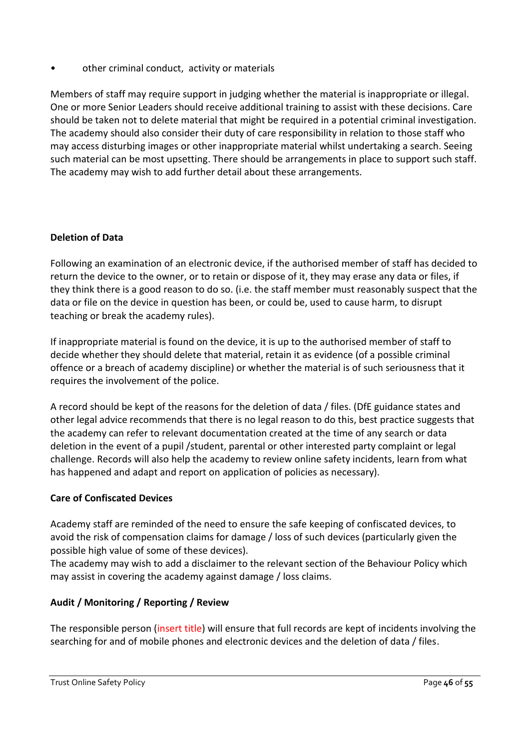• other criminal conduct, activity or materials

Members of staff may require support in judging whether the material is inappropriate or illegal. One or more Senior Leaders should receive additional training to assist with these decisions. Care should be taken not to delete material that might be required in a potential criminal investigation. The academy should also consider their duty of care responsibility in relation to those staff who may access disturbing images or other inappropriate material whilst undertaking a search. Seeing such material can be most upsetting. There should be arrangements in place to support such staff. The academy may wish to add further detail about these arrangements.

# **Deletion of Data**

Following an examination of an electronic device, if the authorised member of staff has decided to return the device to the owner, or to retain or dispose of it, they may erase any data or files, if they think there is a good reason to do so. (i.e. the staff member must reasonably suspect that the data or file on the device in question has been, or could be, used to cause harm, to disrupt teaching or break the academy rules).

If inappropriate material is found on the device, it is up to the authorised member of staff to decide whether they should delete that material, retain it as evidence (of a possible criminal offence or a breach of academy discipline) or whether the material is of such seriousness that it requires the involvement of the police.

A record should be kept of the reasons for the deletion of data / files. (DfE guidance states and other legal advice recommends that there is no legal reason to do this, best practice suggests that the academy can refer to relevant documentation created at the time of any search or data deletion in the event of a pupil /student, parental or other interested party complaint or legal challenge. Records will also help the academy to review online safety incidents, learn from what has happened and adapt and report on application of policies as necessary).

## **Care of Confiscated Devices**

Academy staff are reminded of the need to ensure the safe keeping of confiscated devices, to avoid the risk of compensation claims for damage / loss of such devices (particularly given the possible high value of some of these devices).

The academy may wish to add a disclaimer to the relevant section of the Behaviour Policy which may assist in covering the academy against damage / loss claims.

## **Audit / Monitoring / Reporting / Review**

The responsible person (insert title) will ensure that full records are kept of incidents involving the searching for and of mobile phones and electronic devices and the deletion of data / files.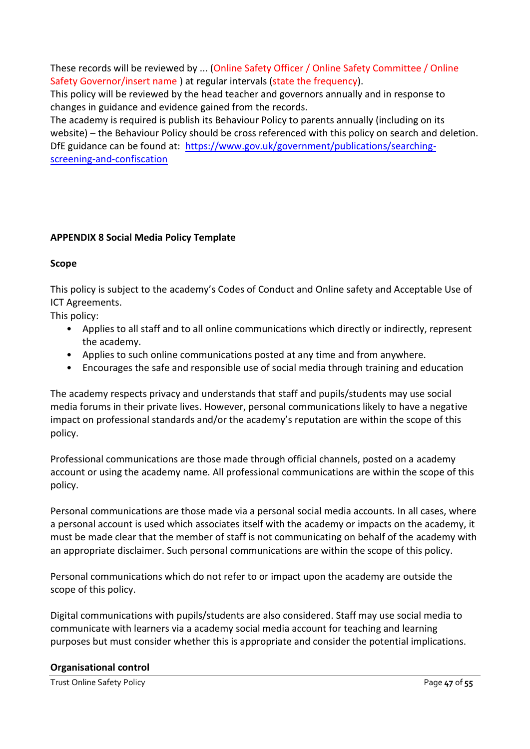These records will be reviewed by ... (Online Safety Officer / Online Safety Committee / Online Safety Governor/insert name ) at regular intervals (state the frequency).

This policy will be reviewed by the head teacher and governors annually and in response to changes in guidance and evidence gained from the records.

The academy is required is publish its Behaviour Policy to parents annually (including on its website) – the Behaviour Policy should be cross referenced with this policy on search and deletion. DfE guidance can be found at: [https://www.gov.uk/government/publications/searching](https://www.gov.uk/government/publications/searching-screening-and-confiscation)[screening-and-confiscation](https://www.gov.uk/government/publications/searching-screening-and-confiscation)

# **APPENDIX 8 Social Media Policy Template**

## **Scope**

This policy is subject to the academy's Codes of Conduct and Online safety and Acceptable Use of ICT Agreements.

This policy:

- Applies to all staff and to all online communications which directly or indirectly, represent the academy.
- Applies to such online communications posted at any time and from anywhere.
- Encourages the safe and responsible use of social media through training and education

The academy respects privacy and understands that staff and pupils/students may use social media forums in their private lives. However, personal communications likely to have a negative impact on professional standards and/or the academy's reputation are within the scope of this policy.

Professional communications are those made through official channels, posted on a academy account or using the academy name. All professional communications are within the scope of this policy.

Personal communications are those made via a personal social media accounts. In all cases, where a personal account is used which associates itself with the academy or impacts on the academy, it must be made clear that the member of staff is not communicating on behalf of the academy with an appropriate disclaimer. Such personal communications are within the scope of this policy.

Personal communications which do not refer to or impact upon the academy are outside the scope of this policy.

Digital communications with pupils/students are also considered. Staff may use social media to communicate with learners via a academy social media account for teaching and learning purposes but must consider whether this is appropriate and consider the potential implications.

#### **Organisational control**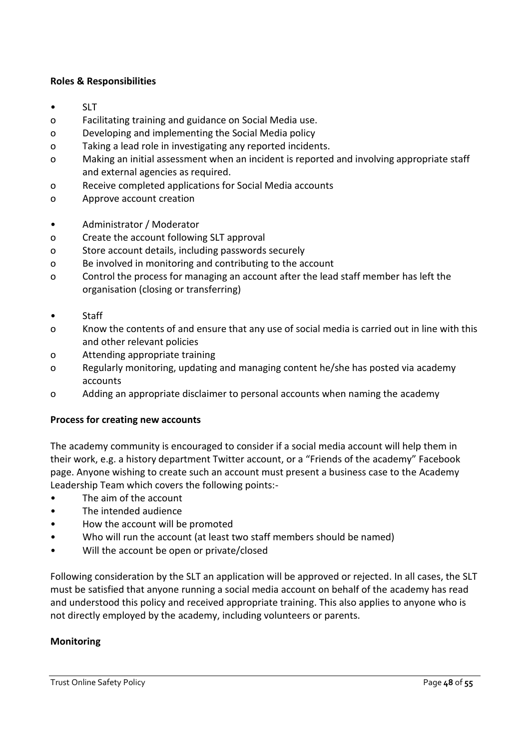#### **Roles & Responsibilities**

- SLT
- o Facilitating training and guidance on Social Media use.
- o Developing and implementing the Social Media policy
- o Taking a lead role in investigating any reported incidents.
- o Making an initial assessment when an incident is reported and involving appropriate staff and external agencies as required.
- o Receive completed applications for Social Media accounts
- o Approve account creation
- Administrator / Moderator
- o Create the account following SLT approval
- o Store account details, including passwords securely
- o Be involved in monitoring and contributing to the account
- o Control the process for managing an account after the lead staff member has left the organisation (closing or transferring)
- Staff
- o Know the contents of and ensure that any use of social media is carried out in line with this and other relevant policies
- o Attending appropriate training
- o Regularly monitoring, updating and managing content he/she has posted via academy accounts
- o Adding an appropriate disclaimer to personal accounts when naming the academy

#### **Process for creating new accounts**

The academy community is encouraged to consider if a social media account will help them in their work, e.g. a history department Twitter account, or a "Friends of the academy" Facebook page. Anyone wishing to create such an account must present a business case to the Academy Leadership Team which covers the following points:-

- The aim of the account
- The intended audience
- How the account will be promoted
- Who will run the account (at least two staff members should be named)
- Will the account be open or private/closed

Following consideration by the SLT an application will be approved or rejected. In all cases, the SLT must be satisfied that anyone running a social media account on behalf of the academy has read and understood this policy and received appropriate training. This also applies to anyone who is not directly employed by the academy, including volunteers or parents.

#### **Monitoring**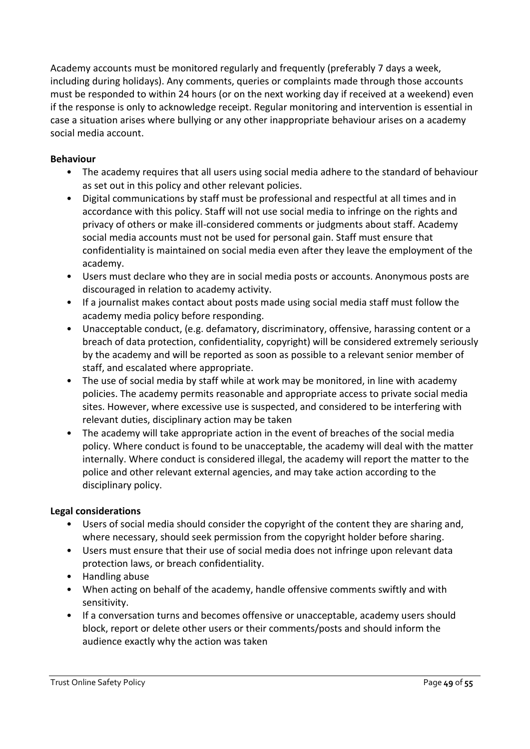Academy accounts must be monitored regularly and frequently (preferably 7 days a week, including during holidays). Any comments, queries or complaints made through those accounts must be responded to within 24 hours (or on the next working day if received at a weekend) even if the response is only to acknowledge receipt. Regular monitoring and intervention is essential in case a situation arises where bullying or any other inappropriate behaviour arises on a academy social media account.

## **Behaviour**

- The academy requires that all users using social media adhere to the standard of behaviour as set out in this policy and other relevant policies.
- Digital communications by staff must be professional and respectful at all times and in accordance with this policy. Staff will not use social media to infringe on the rights and privacy of others or make ill-considered comments or judgments about staff. Academy social media accounts must not be used for personal gain. Staff must ensure that confidentiality is maintained on social media even after they leave the employment of the academy.
- Users must declare who they are in social media posts or accounts. Anonymous posts are discouraged in relation to academy activity.
- If a journalist makes contact about posts made using social media staff must follow the academy media policy before responding.
- Unacceptable conduct, (e.g. defamatory, discriminatory, offensive, harassing content or a breach of data protection, confidentiality, copyright) will be considered extremely seriously by the academy and will be reported as soon as possible to a relevant senior member of staff, and escalated where appropriate.
- The use of social media by staff while at work may be monitored, in line with academy policies. The academy permits reasonable and appropriate access to private social media sites. However, where excessive use is suspected, and considered to be interfering with relevant duties, disciplinary action may be taken
- The academy will take appropriate action in the event of breaches of the social media policy. Where conduct is found to be unacceptable, the academy will deal with the matter internally. Where conduct is considered illegal, the academy will report the matter to the police and other relevant external agencies, and may take action according to the disciplinary policy.

#### **Legal considerations**

- Users of social media should consider the copyright of the content they are sharing and, where necessary, should seek permission from the copyright holder before sharing.
- Users must ensure that their use of social media does not infringe upon relevant data protection laws, or breach confidentiality.
- Handling abuse
- When acting on behalf of the academy, handle offensive comments swiftly and with sensitivity.
- If a conversation turns and becomes offensive or unacceptable, academy users should block, report or delete other users or their comments/posts and should inform the audience exactly why the action was taken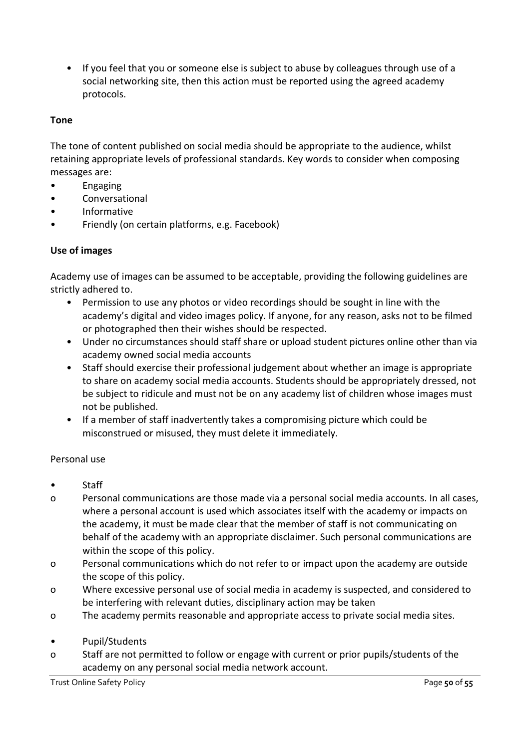• If you feel that you or someone else is subject to abuse by colleagues through use of a social networking site, then this action must be reported using the agreed academy protocols.

## **Tone**

The tone of content published on social media should be appropriate to the audience, whilst retaining appropriate levels of professional standards. Key words to consider when composing messages are:

- Engaging
- **Conversational**
- Informative
- Friendly (on certain platforms, e.g. Facebook)

## **Use of images**

Academy use of images can be assumed to be acceptable, providing the following guidelines are strictly adhered to.

- Permission to use any photos or video recordings should be sought in line with the academy's digital and video images policy. If anyone, for any reason, asks not to be filmed or photographed then their wishes should be respected.
- Under no circumstances should staff share or upload student pictures online other than via academy owned social media accounts
- Staff should exercise their professional judgement about whether an image is appropriate to share on academy social media accounts. Students should be appropriately dressed, not be subject to ridicule and must not be on any academy list of children whose images must not be published.
- If a member of staff inadvertently takes a compromising picture which could be misconstrued or misused, they must delete it immediately.

#### Personal use

- Staff
- o Personal communications are those made via a personal social media accounts. In all cases, where a personal account is used which associates itself with the academy or impacts on the academy, it must be made clear that the member of staff is not communicating on behalf of the academy with an appropriate disclaimer. Such personal communications are within the scope of this policy.
- o Personal communications which do not refer to or impact upon the academy are outside the scope of this policy.
- o Where excessive personal use of social media in academy is suspected, and considered to be interfering with relevant duties, disciplinary action may be taken
- o The academy permits reasonable and appropriate access to private social media sites.
- Pupil/Students
- o Staff are not permitted to follow or engage with current or prior pupils/students of the academy on any personal social media network account.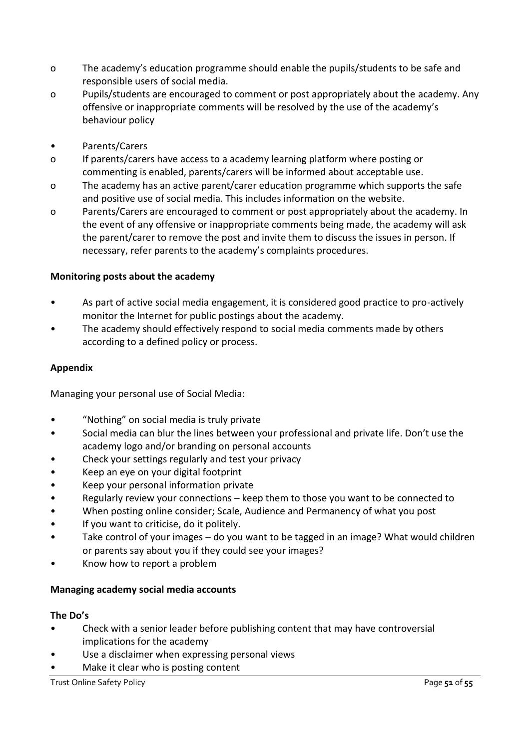- o The academy's education programme should enable the pupils/students to be safe and responsible users of social media.
- o Pupils/students are encouraged to comment or post appropriately about the academy. Any offensive or inappropriate comments will be resolved by the use of the academy's behaviour policy
- Parents/Carers
- o If parents/carers have access to a academy learning platform where posting or commenting is enabled, parents/carers will be informed about acceptable use.
- o The academy has an active parent/carer education programme which supports the safe and positive use of social media. This includes information on the website.
- o Parents/Carers are encouraged to comment or post appropriately about the academy. In the event of any offensive or inappropriate comments being made, the academy will ask the parent/carer to remove the post and invite them to discuss the issues in person. If necessary, refer parents to the academy's complaints procedures.

## **Monitoring posts about the academy**

- As part of active social media engagement, it is considered good practice to pro-actively monitor the Internet for public postings about the academy.
- The academy should effectively respond to social media comments made by others according to a defined policy or process.

#### **Appendix**

Managing your personal use of Social Media:

- "Nothing" on social media is truly private
- Social media can blur the lines between your professional and private life. Don't use the academy logo and/or branding on personal accounts
- Check your settings regularly and test your privacy
- Keep an eye on your digital footprint
- Keep your personal information private
- Regularly review your connections keep them to those you want to be connected to
- When posting online consider; Scale, Audience and Permanency of what you post
- If you want to criticise, do it politely.
- Take control of your images do you want to be tagged in an image? What would children or parents say about you if they could see your images?
- Know how to report a problem

#### **Managing academy social media accounts**

#### **The Do's**

- Check with a senior leader before publishing content that may have controversial implications for the academy
- Use a disclaimer when expressing personal views
- Make it clear who is posting content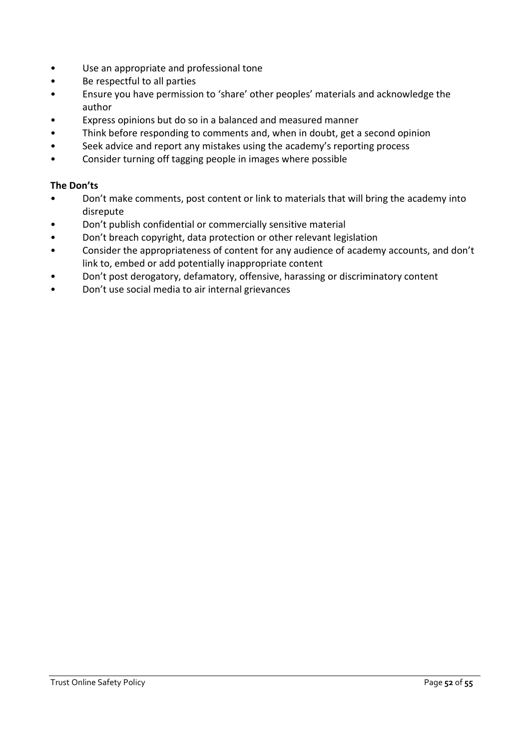- Use an appropriate and professional tone
- Be respectful to all parties
- Ensure you have permission to 'share' other peoples' materials and acknowledge the author
- Express opinions but do so in a balanced and measured manner
- Think before responding to comments and, when in doubt, get a second opinion
- Seek advice and report any mistakes using the academy's reporting process
- Consider turning off tagging people in images where possible

#### **The Don'ts**

- Don't make comments, post content or link to materials that will bring the academy into disrepute
- Don't publish confidential or commercially sensitive material
- Don't breach copyright, data protection or other relevant legislation
- Consider the appropriateness of content for any audience of academy accounts, and don't link to, embed or add potentially inappropriate content
- Don't post derogatory, defamatory, offensive, harassing or discriminatory content
- Don't use social media to air internal grievances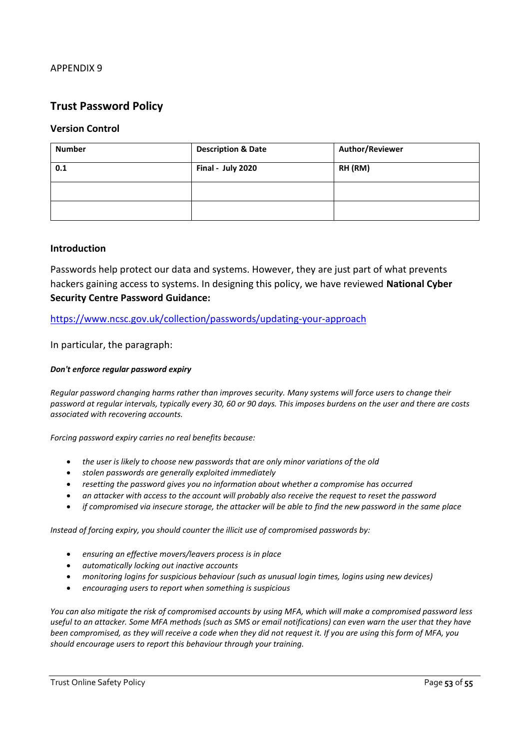# **Trust Password Policy**

#### **Version Control**

| <b>Number</b> | <b>Description &amp; Date</b> | Author/Reviewer |
|---------------|-------------------------------|-----------------|
| 0.1           | Final - July 2020             | RH (RM)         |
|               |                               |                 |
|               |                               |                 |

#### **Introduction**

Passwords help protect our data and systems. However, they are just part of what prevents hackers gaining access to systems. In designing this policy, we have reviewed **National Cyber Security Centre Password Guidance:**

<https://www.ncsc.gov.uk/collection/passwords/updating-your-approach>

In particular, the paragraph:

#### *Don't enforce regular password expiry*

*Regular password changing harms rather than improves security. Many systems will force users to change their password at regular intervals, typically every 30, 60 or 90 days. This imposes burdens on the user and there are costs associated with recovering accounts.*

*Forcing password expiry carries no real benefits because:*

- *the user is likely to choose new passwords that are only minor variations of the old*
- *stolen passwords are generally exploited immediately*
- *resetting the password gives you no information about whether a compromise has occurred*
- *an attacker with access to the account will probably also receive the request to reset the password*
- *if compromised via insecure storage, the attacker will be able to find the new password in the same place*

*Instead of forcing expiry, you should counter the illicit use of compromised passwords by:*

- *ensuring an effective movers/leavers process is in place*
- *automatically locking out inactive accounts*
- *monitoring logins for suspicious behaviour (such as unusual login times, logins using new devices)*
- *encouraging users to report when something is suspicious*

*You can also mitigate the risk of compromised accounts by using MFA, which will make a compromised password less useful to an attacker. Some MFA methods (such as SMS or email notifications) can even warn the user that they have been compromised, as they will receive a code when they did not request it. If you are using this form of MFA, you should encourage users to report this behaviour through your training.*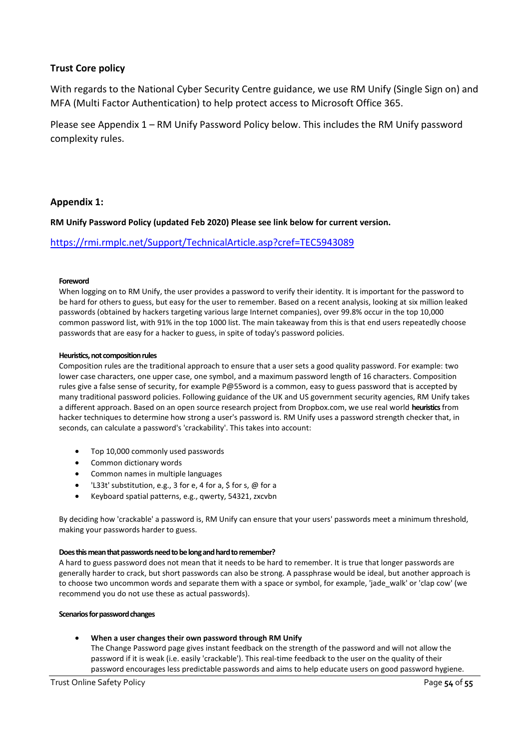#### **Trust Core policy**

With regards to the National Cyber Security Centre guidance, we use RM Unify (Single Sign on) and MFA (Multi Factor Authentication) to help protect access to Microsoft Office 365.

Please see Appendix 1 – RM Unify Password Policy below. This includes the RM Unify password complexity rules.

#### **Appendix 1:**

**RM Unify Password Policy (updated Feb 2020) Please see link below for current version.** 

#### <https://rmi.rmplc.net/Support/TechnicalArticle.asp?cref=TEC5943089>

#### **Foreword**

When logging on to RM Unify, the user provides a password to verify their identity. It is important for the password to be hard for others to guess, but easy for the user to remember. Based on a recent analysis, looking at six million leaked passwords (obtained by hackers targeting various large Internet companies), over 99.8% occur in the top 10,000 common password list, with 91% in the top 1000 list. The main takeaway from this is that end users repeatedly choose passwords that are easy for a hacker to guess, in spite of today's password policies.

#### **Heuristics, not composition rules**

Composition rules are the traditional approach to ensure that a user sets a good quality password. For example: two lower case characters, one upper case, one symbol, and a maximum password length of 16 characters. Composition rules give a false sense of security, for example P@55word is a common, easy to guess password that is accepted by many traditional password policies. Following guidance of the UK and US government security agencies, RM Unify takes a different approach. Based on an open source research project from Dropbox.com, we use real world **heuristics**from hacker techniques to determine how strong a user's password is. RM Unify uses a password strength checker that, in seconds, can calculate a password's 'crackability'. This takes into account:

- Top 10,000 commonly used passwords
- Common dictionary words
- Common names in multiple languages
- 'L33t' substitution, e.g., 3 for e, 4 for a, \$ for s, @ for a
- Keyboard spatial patterns, e.g., qwerty, 54321, zxcvbn

By deciding how 'crackable' a password is, RM Unify can ensure that your users' passwords meet a minimum threshold, making your passwords harder to guess.

#### **Does this mean that passwords need to be long and hard to remember?**

A hard to guess password does not mean that it needs to be hard to remember. It is true that longer passwords are generally harder to crack, but short passwords can also be strong. A passphrase would be ideal, but another approach is to choose two uncommon words and separate them with a space or symbol, for example, 'jade\_walk' or 'clap cow' (we recommend you do not use these as actual passwords).

#### **Scenarios for password changes**

#### • **When a user changes their own password through RM Unify**

The Change Password page gives instant feedback on the strength of the password and will not allow the password if it is weak (i.e. easily 'crackable'). This real-time feedback to the user on the quality of their password encourages less predictable passwords and aims to help educate users on good password hygiene.